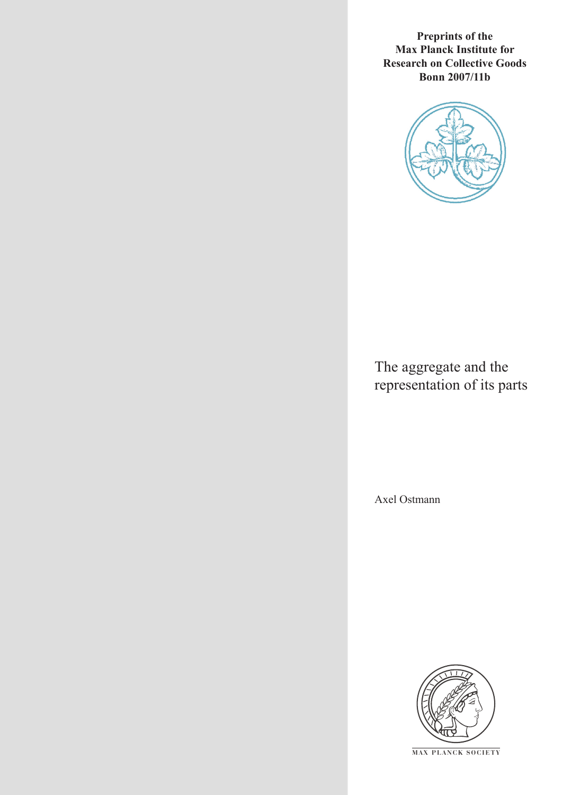**Preprints of the Max Planck Institute for Research on Collective Goods Bonn 2007/11b**



The aggregate and the representation of its parts

Axel Ostmann



**M AX P L A N C K S O C I E T Y**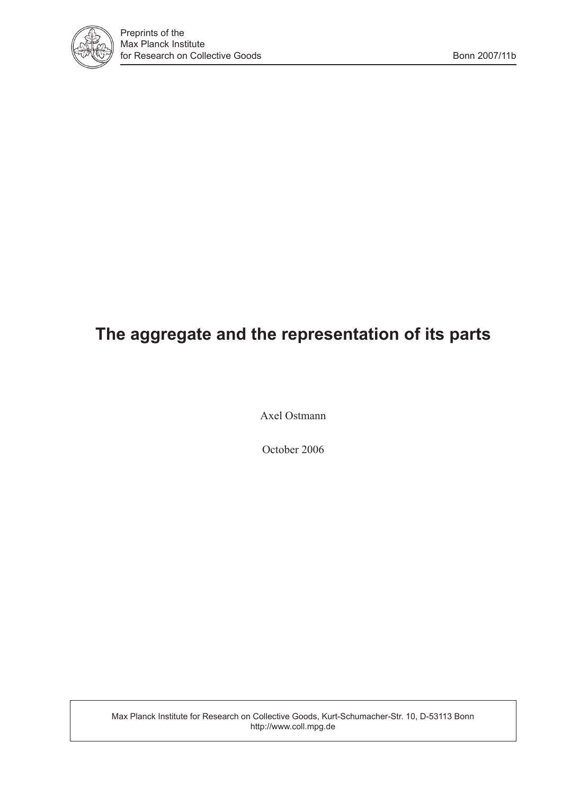

# **The aggregate and the representation of its parts**

Axel Ostmann

October 2006

Max Planck Institute for Research on Collective Goods, Kurt-Schumacher-Str. 10, D-53113 Bonn http://www.coll.mpg.de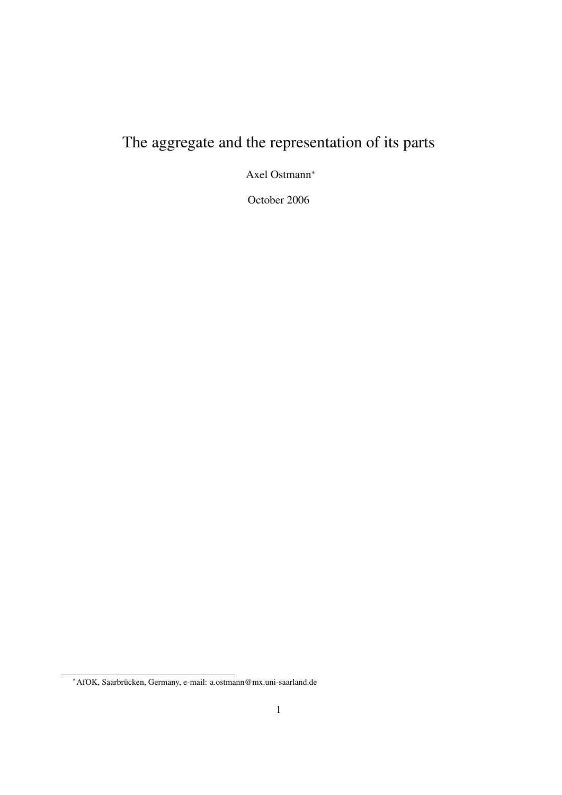# The aggregate and the representation of its parts

Axel Ostmann<sup>∗</sup>

October 2006

<sup>∗</sup>AfOK, Saarbrucken, Germany, e-mail: a.ostmann@mx.uni-saarland.de ¨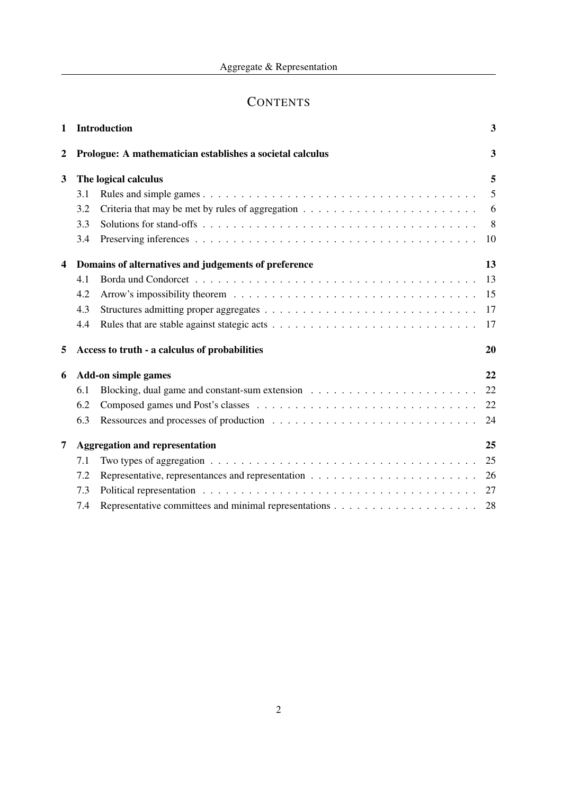# **CONTENTS**

| $\mathbf{1}$            |     | <b>Introduction</b>                                       | 3  |
|-------------------------|-----|-----------------------------------------------------------|----|
| 2                       |     | Prologue: A mathematician establishes a societal calculus | 3  |
| 3                       |     | The logical calculus                                      | 5  |
|                         | 3.1 |                                                           | 5  |
|                         | 3.2 |                                                           | 6  |
|                         | 3.3 |                                                           | 8  |
|                         | 3.4 |                                                           | 10 |
| $\overline{\mathbf{4}}$ |     | Domains of alternatives and judgements of preference      | 13 |
|                         | 4.1 |                                                           | 13 |
|                         | 4.2 |                                                           | 15 |
|                         | 4.3 |                                                           | 17 |
|                         | 4.4 |                                                           | 17 |
| 5                       |     | Access to truth - a calculus of probabilities             | 20 |
| 6                       |     | <b>Add-on simple games</b>                                | 22 |
|                         | 6.1 |                                                           | 22 |
|                         | 6.2 |                                                           | 22 |
|                         | 6.3 |                                                           | 24 |
| 7                       |     | <b>Aggregation and representation</b>                     | 25 |
|                         | 7.1 |                                                           | 25 |
|                         | 7.2 |                                                           | 26 |
|                         | 7.3 |                                                           | 27 |
|                         | 7.4 |                                                           | 28 |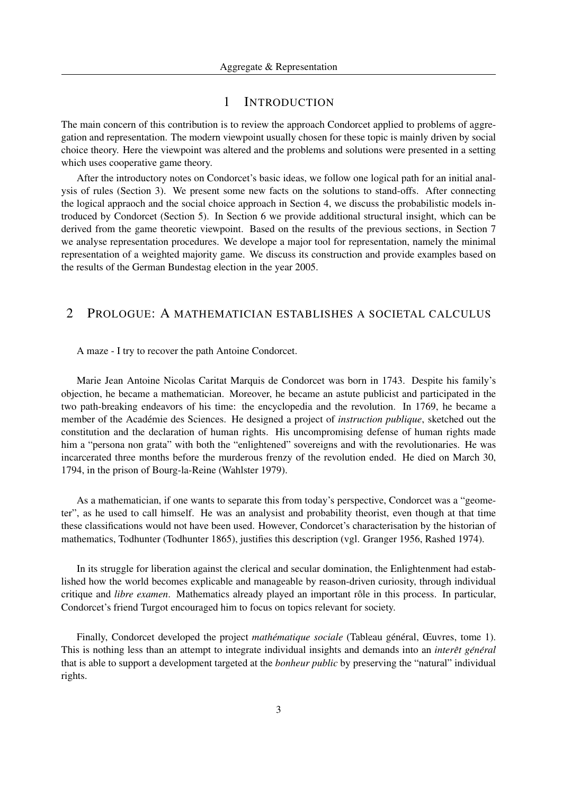## 1 INTRODUCTION

The main concern of this contribution is to review the approach Condorcet applied to problems of aggregation and representation. The modern viewpoint usually chosen for these topic is mainly driven by social choice theory. Here the viewpoint was altered and the problems and solutions were presented in a setting which uses cooperative game theory.

After the introductory notes on Condorcet's basic ideas, we follow one logical path for an initial analysis of rules (Section 3). We present some new facts on the solutions to stand-offs. After connecting the logical appraoch and the social choice approach in Section 4, we discuss the probabilistic models introduced by Condorcet (Section 5). In Section 6 we provide additional structural insight, which can be derived from the game theoretic viewpoint. Based on the results of the previous sections, in Section 7 we analyse representation procedures. We develope a major tool for representation, namely the minimal representation of a weighted majority game. We discuss its construction and provide examples based on the results of the German Bundestag election in the year 2005.

# 2 PROLOGUE: A MATHEMATICIAN ESTABLISHES A SOCIETAL CALCULUS

## A maze - I try to recover the path Antoine Condorcet.

Marie Jean Antoine Nicolas Caritat Marquis de Condorcet was born in 1743. Despite his family's objection, he became a mathematician. Moreover, he became an astute publicist and participated in the two path-breaking endeavors of his time: the encyclopedia and the revolution. In 1769, he became a member of the Académie des Sciences. He designed a project of *instruction publique*, sketched out the constitution and the declaration of human rights. His uncompromising defense of human rights made him a "persona non grata" with both the "enlightened" sovereigns and with the revolutionaries. He was incarcerated three months before the murderous frenzy of the revolution ended. He died on March 30, 1794, in the prison of Bourg-la-Reine (Wahlster 1979).

As a mathematician, if one wants to separate this from today's perspective, Condorcet was a "geometer", as he used to call himself. He was an analysist and probability theorist, even though at that time these classifications would not have been used. However, Condorcet's characterisation by the historian of mathematics, Todhunter (Todhunter 1865), justifies this description (vgl. Granger 1956, Rashed 1974).

In its struggle for liberation against the clerical and secular domination, the Enlightenment had established how the world becomes explicable and manageable by reason-driven curiosity, through individual critique and *libre examen*. Mathematics already played an important rôle in this process. In particular, Condorcet's friend Turgot encouraged him to focus on topics relevant for society.

Finally, Condorcet developed the project *mathématique sociale* (Tableau général, Œuvres, tome 1). This is nothing less than an attempt to integrate individual insights and demands into an *interêt général* that is able to support a development targeted at the *bonheur public* by preserving the "natural" individual rights.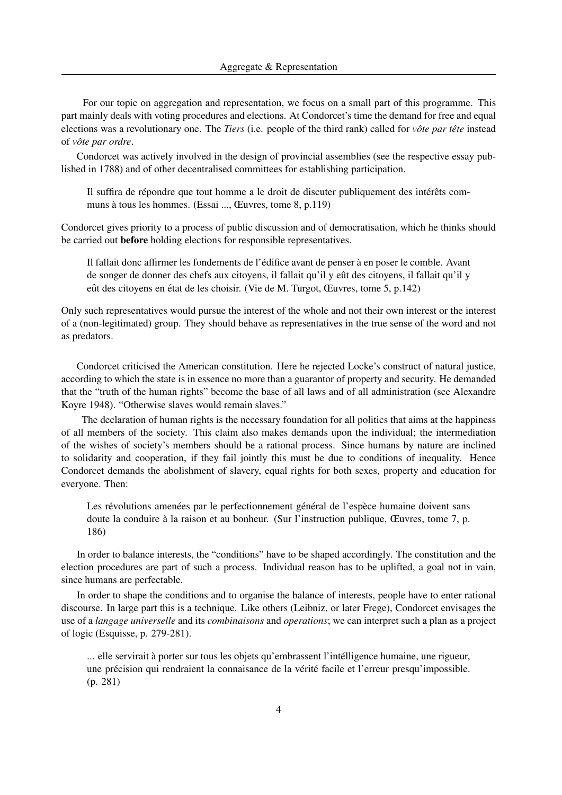For our topic on aggregation and representation, we focus on a small part of this programme. This part mainly deals with voting procedures and elections. At Condorcet's time the demand for free and equal elections was a revolutionary one. The *Tiers* (i.e. people of the third rank) called for *vôte par tête* instead of *vote par ordre ˆ* .

Condorcet was actively involved in the design of provincial assemblies (see the respective essay published in 1788) and of other decentralised committees for establishing participation.

Il suffira de répondre que tout homme a le droit de discuter publiquement des intérêts communs a tous les hommes. (Essai ..., Œuvres, tome 8, p.119) `

Condorcet gives priority to a process of public discussion and of democratisation, which he thinks should be carried out before holding elections for responsible representatives.

Il fallait donc affirmer les fondements de l'édifice avant de penser à en poser le comble. Avant de songer de donner des chefs aux citoyens, il fallait qu'il y eût des citoyens, il fallait qu'il y eût des citoyens en état de les choisir. (Vie de M. Turgot, Œuvres, tome 5, p.142)

Only such representatives would pursue the interest of the whole and not their own interest or the interest of a (non-legitimated) group. They should behave as representatives in the true sense of the word and not as predators.

Condorcet criticised the American constitution. Here he rejected Locke's construct of natural justice, according to which the state is in essence no more than a guarantor of property and security. He demanded that the "truth of the human rights" become the base of all laws and of all administration (see Alexandre Koyre 1948). "Otherwise slaves would remain slaves."

The declaration of human rights is the necessary foundation for all politics that aims at the happiness of all members of the society. This claim also makes demands upon the individual; the intermediation of the wishes of society's members should be a rational process. Since humans by nature are inclined to solidarity and cooperation, if they fail jointly this must be due to conditions of inequality. Hence Condorcet demands the abolishment of slavery, equal rights for both sexes, property and education for everyone. Then:

Les révolutions amenées par le perfectionnement général de l'espèce humaine doivent sans doute la conduire à la raison et au bonheur. (Sur l'instruction publique, Œuvres, tome 7, p. 186)

In order to balance interests, the "conditions" have to be shaped accordingly. The constitution and the election procedures are part of such a process. Individual reason has to be uplifted, a goal not in vain, since humans are perfectable.

In order to shape the conditions and to organise the balance of interests, people have to enter rational discourse. In large part this is a technique. Like others (Leibniz, or later Frege), Condorcet envisages the use of a *langage universelle* and its *combinaisons* and *operations*; we can interpret such a plan as a project of logic (Esquisse, p. 279-281).

... elle servirait à porter sur tous les objets qu'embrassent l'intélligence humaine, une rigueur, une précision qui rendraient la connaisance de la vérité facile et l'erreur presqu'impossible. (p. 281)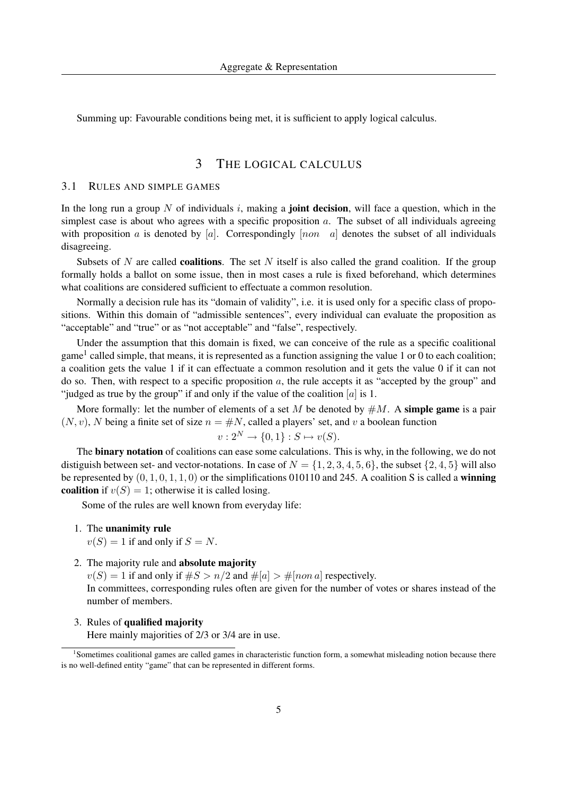Summing up: Favourable conditions being met, it is sufficient to apply logical calculus.

# 3 THE LOGICAL CALCULUS

## 3.1 RULES AND SIMPLE GAMES

In the long run a group N of individuals i, making a **joint decision**, will face a question, which in the simplest case is about who agrees with a specific proposition  $a$ . The subset of all individuals agreeing with proposition a is denoted by [a]. Correspondingly  $[non \ a]$  denotes the subset of all individuals disagreeing.

Subsets of N are called **coalitions**. The set N itself is also called the grand coalition. If the group formally holds a ballot on some issue, then in most cases a rule is fixed beforehand, which determines what coalitions are considered sufficient to effectuate a common resolution.

Normally a decision rule has its "domain of validity", i.e. it is used only for a specific class of propositions. Within this domain of "admissible sentences", every individual can evaluate the proposition as "acceptable" and "true" or as "not acceptable" and "false", respectively.

Under the assumption that this domain is fixed, we can conceive of the rule as a specific coalitional game<sup>1</sup> called simple, that means, it is represented as a function assigning the value 1 or 0 to each coalition; a coalition gets the value 1 if it can effectuate a common resolution and it gets the value 0 if it can not do so. Then, with respect to a specific proposition  $a$ , the rule accepts it as "accepted by the group" and "judged as true by the group" if and only if the value of the coalition  $[a]$  is 1.

More formally: let the number of elements of a set M be denoted by  $\#M$ . A simple game is a pair  $(N, v)$ , N being a finite set of size  $n = \#N$ , called a players' set, and v a boolean function

$$
v: 2^N \to \{0, 1\} : S \mapsto v(S).
$$

The binary notation of coalitions can ease some calculations. This is why, in the following, we do not distiguish between set- and vector-notations. In case of  $N = \{1, 2, 3, 4, 5, 6\}$ , the subset  $\{2, 4, 5\}$  will also be represented by  $(0, 1, 0, 1, 1, 0)$  or the simplifications 010110 and 245. A coalition S is called a **winning** coalition if  $v(S) = 1$ ; otherwise it is called losing.

Some of the rules are well known from everyday life:

1. The unanimity rule

 $v(S) = 1$  if and only if  $S = N$ .

2. The majority rule and absolute majority

 $v(S) = 1$  if and only if  $\#S > n/2$  and  $\#[a] > \#[non a]$  respectively. In committees, corresponding rules often are given for the number of votes or shares instead of the number of members.

3. Rules of qualified majority

Here mainly majorities of 2/3 or 3/4 are in use.

<sup>&</sup>lt;sup>1</sup>Sometimes coalitional games are called games in characteristic function form, a somewhat misleading notion because there is no well-defined entity "game" that can be represented in different forms.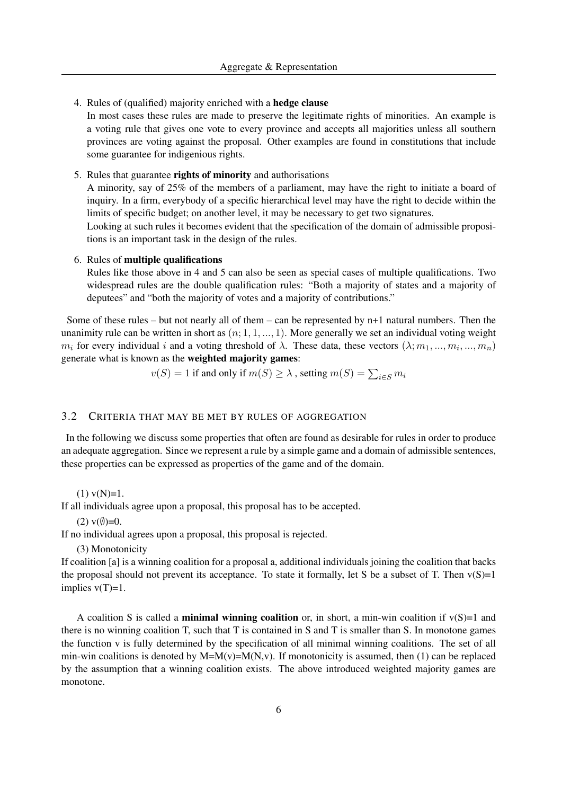4. Rules of (qualified) majority enriched with a hedge clause

In most cases these rules are made to preserve the legitimate rights of minorities. An example is a voting rule that gives one vote to every province and accepts all majorities unless all southern provinces are voting against the proposal. Other examples are found in constitutions that include some guarantee for indigenious rights.

5. Rules that guarantee rights of minority and authorisations

A minority, say of 25% of the members of a parliament, may have the right to initiate a board of inquiry. In a firm, everybody of a specific hierarchical level may have the right to decide within the limits of specific budget; on another level, it may be necessary to get two signatures.

Looking at such rules it becomes evident that the specification of the domain of admissible propositions is an important task in the design of the rules.

#### 6. Rules of multiple qualifications

Rules like those above in 4 and 5 can also be seen as special cases of multiple qualifications. Two widespread rules are the double qualification rules: "Both a majority of states and a majority of deputees" and "both the majority of votes and a majority of contributions."

Some of these rules – but not nearly all of them – can be represented by  $n+1$  natural numbers. Then the unanimity rule can be written in short as  $(n; 1, 1, ..., 1)$ . More generally we set an individual voting weight  $m_i$  for every individual i and a voting threshold of  $\lambda$ . These data, these vectors  $(\lambda; m_1, ..., m_i, ..., m_n)$ generate what is known as the weighted majority games:

$$
v(S) = 1
$$
 if and only if  $m(S) \ge \lambda$ , setting  $m(S) = \sum_{i \in S} m_i$ 

### 3.2 CRITERIA THAT MAY BE MET BY RULES OF AGGREGATION

In the following we discuss some properties that often are found as desirable for rules in order to produce an adequate aggregation. Since we represent a rule by a simple game and a domain of admissible sentences, these properties can be expressed as properties of the game and of the domain.

 $(1)$  v(N)=1.

If all individuals agree upon a proposal, this proposal has to be accepted.

(2)  $v(\emptyset)=0$ .

If no individual agrees upon a proposal, this proposal is rejected.

(3) Monotonicity

If coalition [a] is a winning coalition for a proposal a, additional individuals joining the coalition that backs the proposal should not prevent its acceptance. To state it formally, let S be a subset of T. Then  $v(S)=1$ implies  $v(T)=1$ .

A coalition S is called a **minimal winning coalition** or, in short, a min-win coalition if  $v(S)=1$  and there is no winning coalition T, such that T is contained in S and T is smaller than S. In monotone games the function v is fully determined by the specification of all minimal winning coalitions. The set of all min-win coalitions is denoted by  $M=M(v)=M(N,v)$ . If monotonicity is assumed, then (1) can be replaced by the assumption that a winning coalition exists. The above introduced weighted majority games are monotone.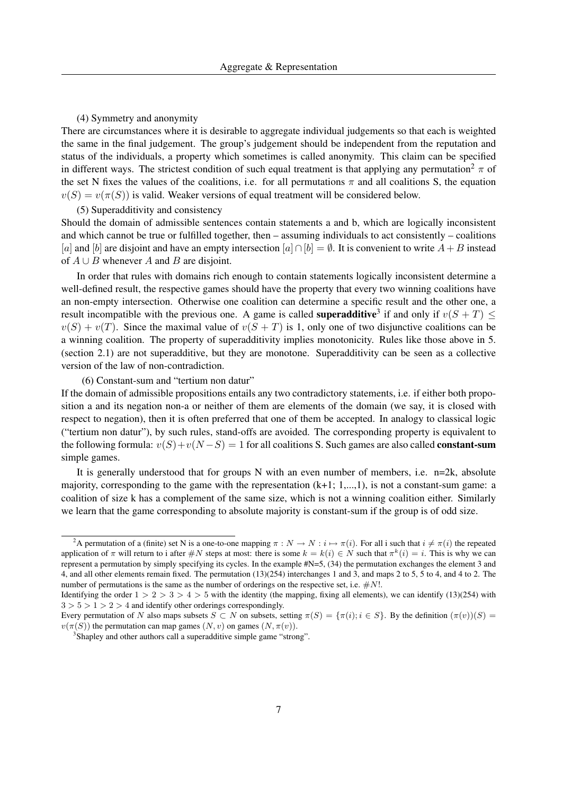## (4) Symmetry and anonymity

There are circumstances where it is desirable to aggregate individual judgements so that each is weighted the same in the final judgement. The group's judgement should be independent from the reputation and status of the individuals, a property which sometimes is called anonymity. This claim can be specified in different ways. The strictest condition of such equal treatment is that applying any permutation<sup>2</sup>  $\pi$  of the set N fixes the values of the coalitions, i.e. for all permutations  $\pi$  and all coalitions S, the equation  $v(S) = v(\pi(S))$  is valid. Weaker versions of equal treatment will be considered below.

(5) Superadditivity and consistency

Should the domain of admissible sentences contain statements a and b, which are logically inconsistent and which cannot be true or fulfilled together, then – assuming individuals to act consistently – coalitions [a] and [b] are disjoint and have an empty intersection  $[a] \cap [b] = \emptyset$ . It is convenient to write  $A + B$  instead of  $A \cup B$  whenever A and B are disjoint.

In order that rules with domains rich enough to contain statements logically inconsistent determine a well-defined result, the respective games should have the property that every two winning coalitions have an non-empty intersection. Otherwise one coalition can determine a specific result and the other one, a result incompatible with the previous one. A game is called **superadditive**<sup>3</sup> if and only if  $v(S + T) \leq$  $v(S) + v(T)$ . Since the maximal value of  $v(S + T)$  is 1, only one of two disjunctive coalitions can be a winning coalition. The property of superadditivity implies monotonicity. Rules like those above in 5. (section 2.1) are not superadditive, but they are monotone. Superadditivity can be seen as a collective version of the law of non-contradiction.

(6) Constant-sum and "tertium non datur"

If the domain of admissible propositions entails any two contradictory statements, i.e. if either both proposition a and its negation non-a or neither of them are elements of the domain (we say, it is closed with respect to negation), then it is often preferred that one of them be accepted. In analogy to classical logic ("tertium non datur"), by such rules, stand-offs are avoided. The corresponding property is equivalent to the following formula:  $v(S)+v(N-S) = 1$  for all coalitions S. Such games are also called **constant-sum** simple games.

It is generally understood that for groups N with an even number of members, i.e. n=2k, absolute majority, corresponding to the game with the representation (k+1; 1,...,1), is not a constant-sum game: a coalition of size k has a complement of the same size, which is not a winning coalition either. Similarly we learn that the game corresponding to absolute majority is constant-sum if the group is of odd size.

<sup>&</sup>lt;sup>2</sup>A permutation of a (finite) set N is a one-to-one mapping  $\pi : N \to N : i \mapsto \pi(i)$ . For all i such that  $i \neq \pi(i)$  the repeated application of  $\pi$  will return to i after  $\#N$  steps at most: there is some  $k = k(i) \in N$  such that  $\pi^k(i) = i$ . This is why we can represent a permutation by simply specifying its cycles. In the example #N=5, (34) the permutation exchanges the element 3 and 4, and all other elements remain fixed. The permutation (13)(254) interchanges 1 and 3, and maps 2 to 5, 5 to 4, and 4 to 2. The number of permutations is the same as the number of orderings on the respective set, i.e.  $\#N!$ .

Identifying the order  $1 > 2 > 3 > 4 > 5$  with the identity (the mapping, fixing all elements), we can identify (13)(254) with  $3 > 5 > 1 > 2 > 4$  and identify other orderings correspondingly.

Every permutation of N also maps subsets  $S \subset N$  on subsets, setting  $\pi(S) = {\pi(i); i \in S}$ . By the definition  $(\pi(v))(S)$  $v(\pi(S))$  the permutation can map games  $(N, v)$  on games  $(N, \pi(v))$ .

<sup>&</sup>lt;sup>3</sup>Shapley and other authors call a superadditive simple game "strong".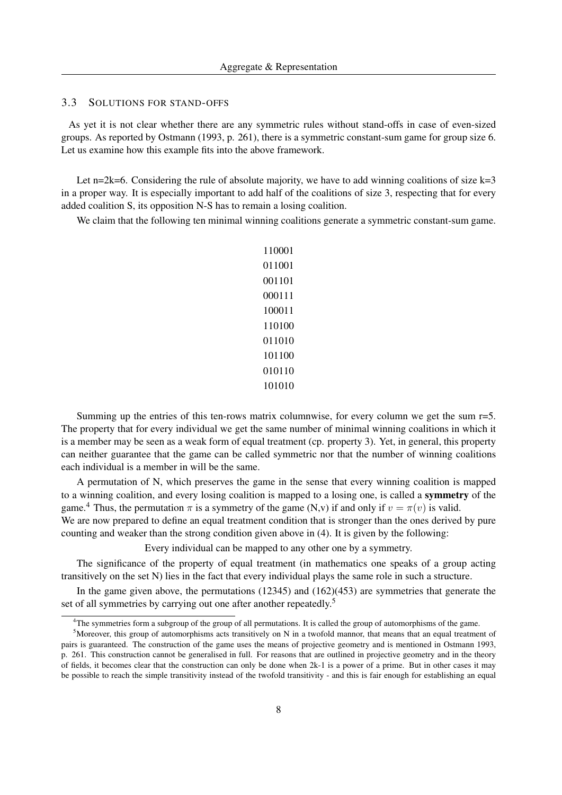#### 3.3 SOLUTIONS FOR STAND-OFFS

As yet it is not clear whether there are any symmetric rules without stand-offs in case of even-sized groups. As reported by Ostmann (1993, p. 261), there is a symmetric constant-sum game for group size 6. Let us examine how this example fits into the above framework.

Let n=2k=6. Considering the rule of absolute majority, we have to add winning coalitions of size  $k=3$ in a proper way. It is especially important to add half of the coalitions of size 3, respecting that for every added coalition S, its opposition N-S has to remain a losing coalition.

We claim that the following ten minimal winning coalitions generate a symmetric constant-sum game.

Summing up the entries of this ten-rows matrix columnwise, for every column we get the sum  $r=5$ . The property that for every individual we get the same number of minimal winning coalitions in which it is a member may be seen as a weak form of equal treatment (cp. property 3). Yet, in general, this property can neither guarantee that the game can be called symmetric nor that the number of winning coalitions each individual is a member in will be the same.

A permutation of N, which preserves the game in the sense that every winning coalition is mapped to a winning coalition, and every losing coalition is mapped to a losing one, is called a symmetry of the game.<sup>4</sup> Thus, the permutation  $\pi$  is a symmetry of the game (N,v) if and only if  $v = \pi(v)$  is valid.

We are now prepared to define an equal treatment condition that is stronger than the ones derived by pure counting and weaker than the strong condition given above in (4). It is given by the following:

Every individual can be mapped to any other one by a symmetry.

The significance of the property of equal treatment (in mathematics one speaks of a group acting transitively on the set N) lies in the fact that every individual plays the same role in such a structure.

In the game given above, the permutations (12345) and (162)(453) are symmetries that generate the set of all symmetries by carrying out one after another repeatedly.<sup>5</sup>

<sup>&</sup>lt;sup>4</sup>The symmetries form a subgroup of the group of all permutations. It is called the group of automorphisms of the game.

 $5$ Moreover, this group of automorphisms acts transitively on N in a twofold mannor, that means that an equal treatment of pairs is guaranteed. The construction of the game uses the means of projective geometry and is mentioned in Ostmann 1993, p. 261. This construction cannot be generalised in full. For reasons that are outlined in projective geometry and in the theory of fields, it becomes clear that the construction can only be done when 2k-1 is a power of a prime. But in other cases it may be possible to reach the simple transitivity instead of the twofold transitivity - and this is fair enough for establishing an equal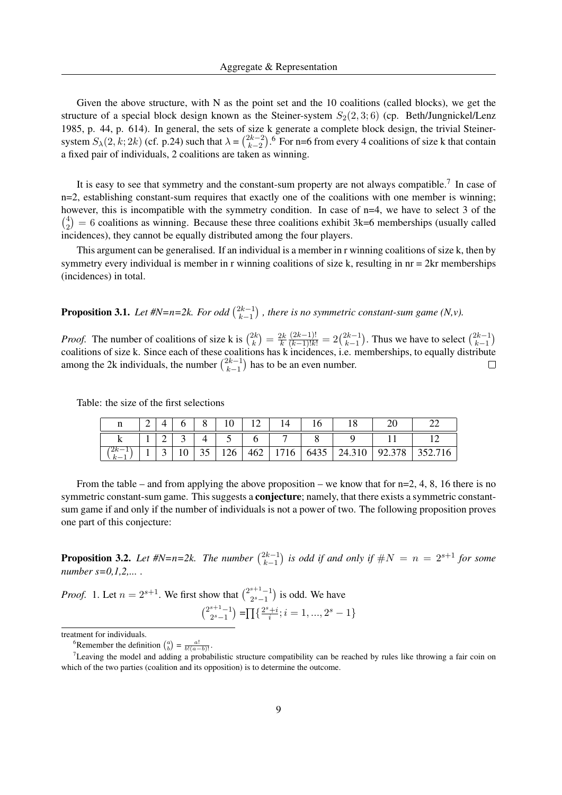Given the above structure, with N as the point set and the 10 coalitions (called blocks), we get the structure of a special block design known as the Steiner-system  $S_2(2,3;6)$  (cp. Beth/Jungnickel/Lenz 1985, p. 44, p. 614). In general, the sets of size k generate a complete block design, the trivial Steinersystem  $S_{\lambda}(2, k; 2k)$  (cf. p.24) such that  $\lambda = \binom{2k-2}{k-2}$  $\binom{2k-2}{k-2}$ .<sup>6</sup> For n=6 from every 4 coalitions of size k that contain a fixed pair of individuals, 2 coalitions are taken as winning.

It is easy to see that symmetry and the constant-sum property are not always compatible.<sup>7</sup> In case of n=2, establishing constant-sum requires that exactly one of the coalitions with one member is winning; however, this is incompatible with the symmetry condition. In case of n=4, we have to select 3 of the  $\binom{4}{2}$  $\binom{4}{2}$  = 6 coalitions as winning. Because these three coalitions exhibit 3k=6 memberships (usually called incidences), they cannot be equally distributed among the four players.

This argument can be generalised. If an individual is a member in r winning coalitions of size k, then by symmetry every individual is member in r winning coalitions of size  $k$ , resulting in  $nr = 2kr$  memberships (incidences) in total.

**Proposition 3.1.** Let #N=n=2k. For odd  $\binom{2k-1}{k-1}$  $\binom{2k-1}{k-1}$ , there is no symmetric constant-sum game (N,v).

*Proof.* The number of coalitions of size k is  $\binom{2k}{k}$  $\binom{2k}{k} = \frac{2k}{k}$ k  $\frac{(2k-1)!}{(k-1)!k!} = 2\binom{2k-1}{k-1}$  $\binom{2k-1}{k-1}$ . Thus we have to select  $\binom{2k-1}{k-1}$  $\binom{2k-1}{k-1}$ coalitions of size k. Since each of these coalitions has k incidences, i.e. memberships, to equally distribute among the 2k individuals, the number  $\binom{2k-1}{k-1}$  $\binom{2k-1}{k-1}$  has to be an even number.

Table: the size of the first selections

| n     | ∼ |        |    |                 |     |     |      | υ    |        |        |         |
|-------|---|--------|----|-----------------|-----|-----|------|------|--------|--------|---------|
|       |   | ◠<br>∽ | ັ  |                 |     |     |      |      |        |        |         |
| $2k-$ |   | -      | ιv | <b>11</b><br>υJ | 126 | 462 | 1716 | 6435 | 24.310 | 92.378 | 352.716 |

From the table – and from applying the above proposition – we know that for  $n=2, 4, 8, 16$  there is no symmetric constant-sum game. This suggests a **conjecture**; namely, that there exists a symmetric constantsum game if and only if the number of individuals is not a power of two. The following proposition proves one part of this conjecture:

**Proposition 3.2.** Let  $#N=n=2k$ . The number  $\binom{2k-1}{k-1}$  $\binom{2k-1}{k-1}$  is odd if and only if  $\#N = n = 2^{s+1}$  for some *number s=0,1,2,... .*

*Proof.* 1. Let  $n = 2^{s+1}$ . We first show that  $\binom{2^{s+1}-1}{2^s-1}$  $\binom{s+1}{2^s-1}$  is odd. We have  $\binom{2^{s+1}-1}{2s-1}$  $\binom{s+1-1}{2^s-1} = \prod_{i} \left\{ \frac{2^s + i}{i} \right\}$  $\frac{1+i}{i}; i = 1, ..., 2<sup>s</sup> - 1$ 

treatment for individuals.

<sup>&</sup>lt;sup>6</sup>Remember the definition  $\binom{a}{b} = \frac{a!}{b!(a-b)!}$ .

 $<sup>7</sup>$ Leaving the model and adding a probabilistic structure compatibility can be reached by rules like throwing a fair coin on</sup> which of the two parties (coalition and its opposition) is to determine the outcome.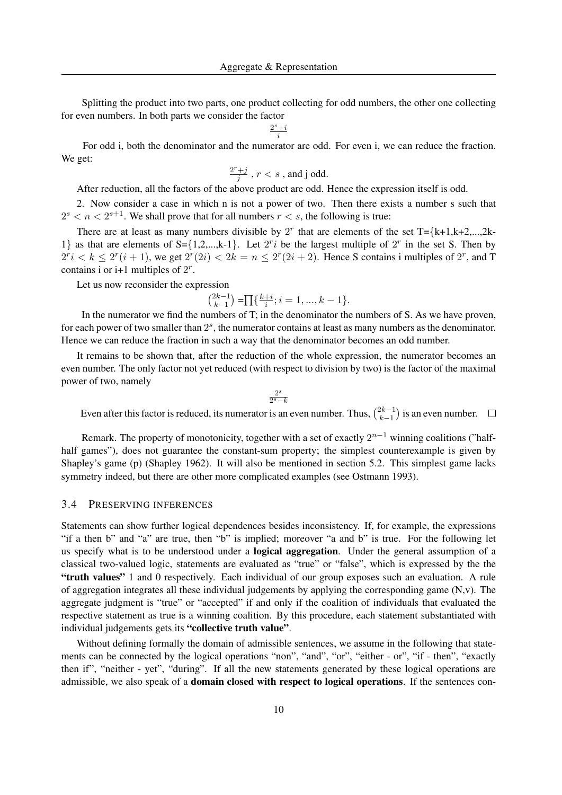Splitting the product into two parts, one product collecting for odd numbers, the other one collecting for even numbers. In both parts we consider the factor

> $2^s+i$ i

For odd i, both the denominator and the numerator are odd. For even i, we can reduce the fraction. We get:

$$
\frac{2^r+j}{j}
$$
 ,  $r < s$  , and j odd.

After reduction, all the factors of the above product are odd. Hence the expression itself is odd.

2. Now consider a case in which n is not a power of two. Then there exists a number s such that  $2^s < n < 2^{s+1}$ . We shall prove that for all numbers  $r < s$ , the following is true:

There are at least as many numbers divisible by  $2^r$  that are elements of the set T={k+1,k+2,...,2k-1} as that are elements of S={1,2,...,k-1}. Let  $2^r i$  be the largest multiple of  $2^r$  in the set S. Then by  $2^{r}i < k \leq 2^{r}(i+1)$ , we get  $2^{r}(2i) < 2k = n \leq 2^{r}(2i+2)$ . Hence S contains i multiples of  $2^{r}$ , and T contains i or i+1 multiples of  $2^r$ .

Let us now reconsider the expression

$$
\binom{2k-1}{k-1} = \prod \{ \frac{k+i}{i}; i = 1, ..., k-1 \}.
$$

In the numerator we find the numbers of T; in the denominator the numbers of S. As we have proven, for each power of two smaller than  $2<sup>s</sup>$ , the numerator contains at least as many numbers as the denominator. Hence we can reduce the fraction in such a way that the denominator becomes an odd number.

It remains to be shown that, after the reduction of the whole expression, the numerator becomes an even number. The only factor not yet reduced (with respect to division by two) is the factor of the maximal power of two, namely

> $2<sup>s</sup>$  $2^s-k$

Even after this factor is reduced, its numerator is an even number. Thus,  $\binom{2k-1}{k-1}$  ${k-1 \choose k-1}$  is an even number.  $\Box$ 

Remark. The property of monotonicity, together with a set of exactly  $2^{n-1}$  winning coalitions ("halfhalf games"), does not guarantee the constant-sum property; the simplest counterexample is given by Shapley's game (p) (Shapley 1962). It will also be mentioned in section 5.2. This simplest game lacks symmetry indeed, but there are other more complicated examples (see Ostmann 1993).

## 3.4 PRESERVING INFERENCES

Statements can show further logical dependences besides inconsistency. If, for example, the expressions "if a then b" and "a" are true, then "b" is implied; moreover "a and b" is true. For the following let us specify what is to be understood under a logical aggregation. Under the general assumption of a classical two-valued logic, statements are evaluated as "true" or "false", which is expressed by the the "truth values" 1 and 0 respectively. Each individual of our group exposes such an evaluation. A rule of aggregation integrates all these individual judgements by applying the corresponding game  $(N, v)$ . The aggregate judgment is "true" or "accepted" if and only if the coalition of individuals that evaluated the respective statement as true is a winning coalition. By this procedure, each statement substantiated with individual judgements gets its "collective truth value".

Without defining formally the domain of admissible sentences, we assume in the following that statements can be connected by the logical operations "non", "and", "or", "either - or", "if - then", "exactly then if", "neither - yet", "during". If all the new statements generated by these logical operations are admissible, we also speak of a **domain closed with respect to logical operations**. If the sentences con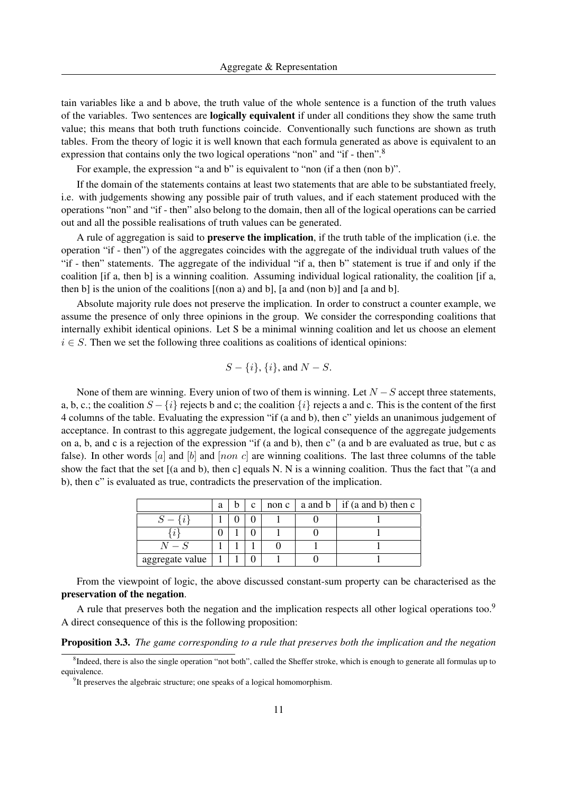tain variables like a and b above, the truth value of the whole sentence is a function of the truth values of the variables. Two sentences are logically equivalent if under all conditions they show the same truth value; this means that both truth functions coincide. Conventionally such functions are shown as truth tables. From the theory of logic it is well known that each formula generated as above is equivalent to an expression that contains only the two logical operations "non" and "if - then".<sup>8</sup>

For example, the expression "a and b" is equivalent to "non (if a then (non b)".

If the domain of the statements contains at least two statements that are able to be substantiated freely, i.e. with judgements showing any possible pair of truth values, and if each statement produced with the operations "non" and "if - then" also belong to the domain, then all of the logical operations can be carried out and all the possible realisations of truth values can be generated.

A rule of aggregation is said to preserve the implication, if the truth table of the implication (i.e. the operation "if - then") of the aggregates coincides with the aggregate of the individual truth values of the "if - then" statements. The aggregate of the individual "if a, then b" statement is true if and only if the coalition [if a, then b] is a winning coalition. Assuming individual logical rationality, the coalition [if a, then b] is the union of the coalitions [(non a) and b], [a and (non b)] and [a and b].

Absolute majority rule does not preserve the implication. In order to construct a counter example, we assume the presence of only three opinions in the group. We consider the corresponding coalitions that internally exhibit identical opinions. Let S be a minimal winning coalition and let us choose an element  $i \in S$ . Then we set the following three coalitions as coalitions of identical opinions:

$$
S - \{i\}, \{i\}, \text{ and } N - S.
$$

None of them are winning. Every union of two of them is winning. Let  $N-S$  accept three statements, a, b, c.; the coalition  $S - \{i\}$  rejects b and c; the coalition  $\{i\}$  rejects a and c. This is the content of the first 4 columns of the table. Evaluating the expression "if (a and b), then c" yields an unanimous judgement of acceptance. In contrast to this aggregate judgement, the logical consequence of the aggregate judgements on a, b, and c is a rejection of the expression "if (a and b), then c" (a and b are evaluated as true, but c as false). In other words  $[a]$  and  $[b]$  and  $[non c]$  are winning coalitions. The last three columns of the table show the fact that the set [(a and b), then c] equals N. N is a winning coalition. Thus the fact that "(a and b), then c" is evaluated as true, contradicts the preservation of the implication.

|                 | a |  | non c | a and b   if (a and b) then c |
|-----------------|---|--|-------|-------------------------------|
|                 |   |  |       |                               |
|                 |   |  |       |                               |
| $N-S$           |   |  |       |                               |
| aggregate value |   |  |       |                               |

From the viewpoint of logic, the above discussed constant-sum property can be characterised as the preservation of the negation.

A rule that preserves both the negation and the implication respects all other logical operations too.<sup>9</sup> A direct consequence of this is the following proposition:

Proposition 3.3. *The game corresponding to a rule that preserves both the implication and the negation*

<sup>&</sup>lt;sup>8</sup>Indeed, there is also the single operation "not both", called the Sheffer stroke, which is enough to generate all formulas up to equivalence.

<sup>&</sup>lt;sup>9</sup>It preserves the algebraic structure; one speaks of a logical homomorphism.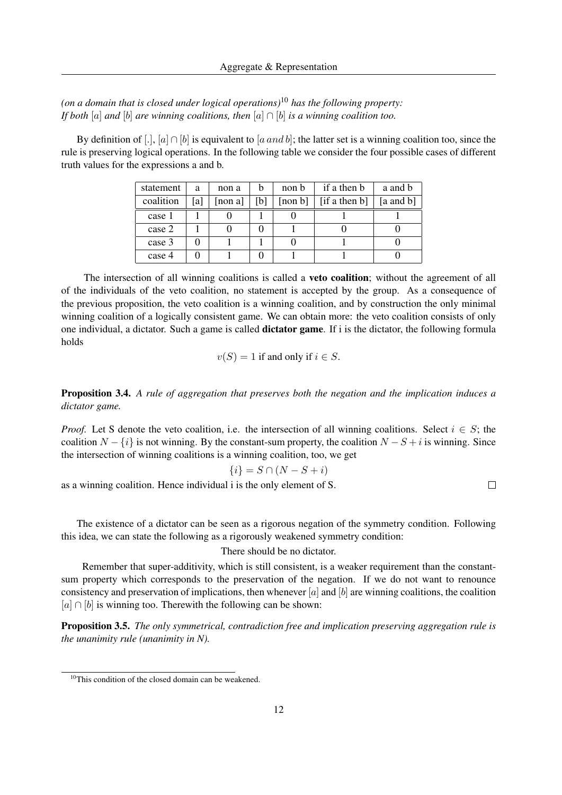*(on a domain that is closed under logical operations)*<sup>10</sup> *has the following property: If both* [a] *and* [b] *are winning coalitions, then* [a] ∩ [b] *is a winning coalition too.*

By definition of [.], [a] ∩ [b] is equivalent to [a and b]; the latter set is a winning coalition too, since the rule is preserving logical operations. In the following table we consider the four possible cases of different truth values for the expressions a and b.

| statement | a   | non a |    | non b   | if a then b   | a and b       |
|-----------|-----|-------|----|---------|---------------|---------------|
| coalition | [a] | non a | b] | [non b] | [if a then b] | $[a$ and $b]$ |
| case 1    |     |       |    |         |               |               |
| case 2    |     |       |    |         |               |               |
| case 3    |     |       |    |         |               |               |
| case 4    |     |       |    |         |               |               |

The intersection of all winning coalitions is called a **veto coalition**; without the agreement of all of the individuals of the veto coalition, no statement is accepted by the group. As a consequence of the previous proposition, the veto coalition is a winning coalition, and by construction the only minimal winning coalition of a logically consistent game. We can obtain more: the veto coalition consists of only one individual, a dictator. Such a game is called dictator game. If i is the dictator, the following formula holds

$$
v(S) = 1
$$
 if and only if  $i \in S$ .

Proposition 3.4. *A rule of aggregation that preserves both the negation and the implication induces a dictator game.*

*Proof.* Let S denote the veto coalition, i.e. the intersection of all winning coalitions. Select  $i \in S$ ; the coalition  $N - \{i\}$  is not winning. By the constant-sum property, the coalition  $N - S + i$  is winning. Since the intersection of winning coalitions is a winning coalition, too, we get

$$
\{i\} = S \cap (N - S + i)
$$

as a winning coalition. Hence individual i is the only element of S.

 $\Box$ 

The existence of a dictator can be seen as a rigorous negation of the symmetry condition. Following this idea, we can state the following as a rigorously weakened symmetry condition:

## There should be no dictator.

Remember that super-additivity, which is still consistent, is a weaker requirement than the constantsum property which corresponds to the preservation of the negation. If we do not want to renounce consistency and preservation of implications, then whenever  $[a]$  and  $[b]$  are winning coalitions, the coalition  $[a] \cap [b]$  is winning too. Therewith the following can be shown:

Proposition 3.5. *The only symmetrical, contradiction free and implication preserving aggregation rule is the unanimity rule (unanimity in N).*

<sup>&</sup>lt;sup>10</sup>This condition of the closed domain can be weakened.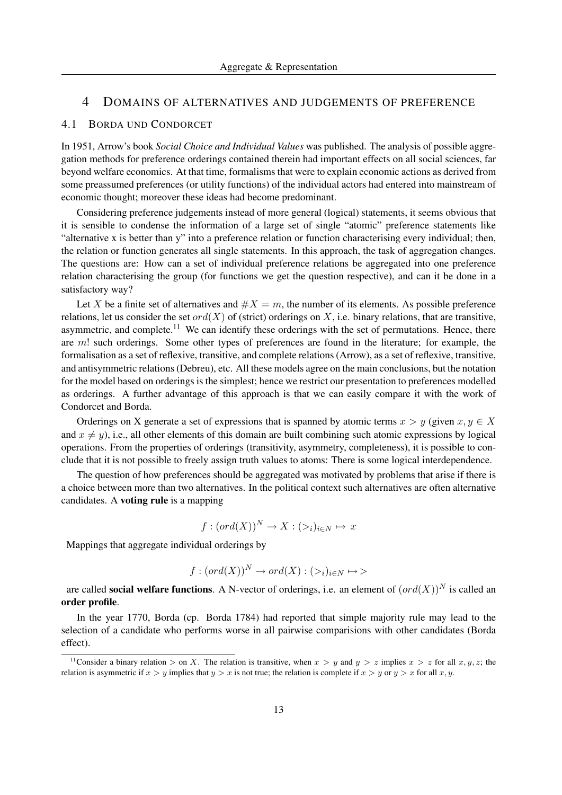## 4 DOMAINS OF ALTERNATIVES AND JUDGEMENTS OF PREFERENCE

#### 4.1 BORDA UND CONDORCET

In 1951, Arrow's book *Social Choice and Individual Values* was published. The analysis of possible aggregation methods for preference orderings contained therein had important effects on all social sciences, far beyond welfare economics. At that time, formalisms that were to explain economic actions as derived from some preassumed preferences (or utility functions) of the individual actors had entered into mainstream of economic thought; moreover these ideas had become predominant.

Considering preference judgements instead of more general (logical) statements, it seems obvious that it is sensible to condense the information of a large set of single "atomic" preference statements like "alternative x is better than y" into a preference relation or function characterising every individual; then, the relation or function generates all single statements. In this approach, the task of aggregation changes. The questions are: How can a set of individual preference relations be aggregated into one preference relation characterising the group (for functions we get the question respective), and can it be done in a satisfactory way?

Let X be a finite set of alternatives and  $#X = m$ , the number of its elements. As possible preference relations, let us consider the set ord(X) of (strict) orderings on X, i.e. binary relations, that are transitive, asymmetric, and complete.<sup>11</sup> We can identify these orderings with the set of permutations. Hence, there are  $m!$  such orderings. Some other types of preferences are found in the literature; for example, the formalisation as a set of reflexive, transitive, and complete relations (Arrow), as a set of reflexive, transitive, and antisymmetric relations (Debreu), etc. All these models agree on the main conclusions, but the notation for the model based on orderings is the simplest; hence we restrict our presentation to preferences modelled as orderings. A further advantage of this approach is that we can easily compare it with the work of Condorcet and Borda.

Orderings on X generate a set of expressions that is spanned by atomic terms  $x > y$  (given  $x, y \in X$ and  $x \neq y$ ), i.e., all other elements of this domain are built combining such atomic expressions by logical operations. From the properties of orderings (transitivity, asymmetry, completeness), it is possible to conclude that it is not possible to freely assign truth values to atoms: There is some logical interdependence.

The question of how preferences should be aggregated was motivated by problems that arise if there is a choice between more than two alternatives. In the political context such alternatives are often alternative candidates. A voting rule is a mapping

$$
f:(ord(X))^N \to X:(\gt_i)_{i \in N} \mapsto x
$$

Mappings that aggregate individual orderings by

$$
f:(ord(X))^N \to ord(X):(>i)_{i \in N} \mapsto
$$

are called **social welfare functions**. A N-vector of orderings, i.e. an element of  $(\text{ord}(X))^N$  is called an order profile.

In the year 1770, Borda (cp. Borda 1784) had reported that simple majority rule may lead to the selection of a candidate who performs worse in all pairwise comparisions with other candidates (Borda effect).

<sup>&</sup>lt;sup>11</sup>Consider a binary relation > on X. The relation is transitive, when  $x > y$  and  $y > z$  implies  $x > z$  for all  $x, y, z$ ; the relation is asymmetric if  $x > y$  implies that  $y > x$  is not true; the relation is complete if  $x > y$  or  $y > x$  for all x, y.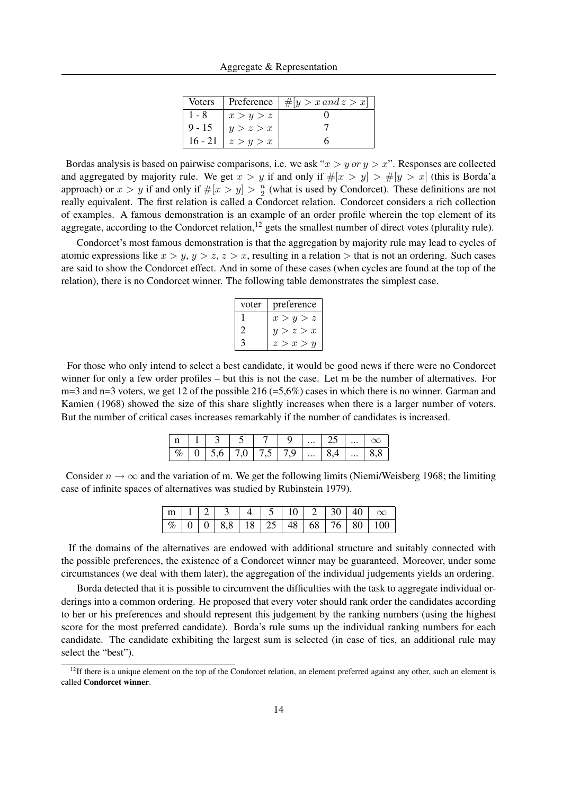|          |                       | Voters   Preference $ \#[y > x \text{ and } z > x]$ |
|----------|-----------------------|-----------------------------------------------------|
| $1 - 8$  | x > y > z             |                                                     |
| $9 - 15$ | y > z > x             |                                                     |
|          | 16 - 21   $z > y > x$ |                                                     |

Bordas analysis is based on pairwise comparisons, i.e. we ask " $x > y$  or  $y > x$ ". Responses are collected and aggregated by majority rule. We get  $x > y$  if and only if  $\#[x > y] > \#[y > x]$  (this is Borda'a approach) or  $x > y$  if and only if  $\#[x > y] > \frac{n}{2}$  $\frac{n}{2}$  (what is used by Condorcet). These definitions are not really equivalent. The first relation is called a Condorcet relation. Condorcet considers a rich collection of examples. A famous demonstration is an example of an order profile wherein the top element of its aggregate, according to the Condorcet relation, $12$  gets the smallest number of direct votes (plurality rule).

Condorcet's most famous demonstration is that the aggregation by majority rule may lead to cycles of atomic expressions like  $x > y$ ,  $y > z$ ,  $z > x$ , resulting in a relation  $>$  that is not an ordering. Such cases are said to show the Condorcet effect. And in some of these cases (when cycles are found at the top of the relation), there is no Condorcet winner. The following table demonstrates the simplest case.

| voter | preference |
|-------|------------|
|       | x > y > z  |
|       | y > z > x  |
|       | z > x > u  |

For those who only intend to select a best candidate, it would be good news if there were no Condorcet winner for only a few order profiles – but this is not the case. Let m be the number of alternatives. For  $m=3$  and  $n=3$  voters, we get 12 of the possible 216 (=5,6%) cases in which there is no winner. Garman and Kamien (1968) showed the size of this share slightly increases when there is a larger number of voters. But the number of critical cases increases remarkably if the number of candidates is increased.

|  | $\left  n \right  1 \left  3 \right  5 \left  7 \right  9 \left   \right  25 \left   \right  \infty$ |  |  |  |  |
|--|------------------------------------------------------------------------------------------------------|--|--|--|--|
|  | $\boxed{96}$ 0 5,6 7,0 7,5 7,9  8,4  8,8                                                             |  |  |  |  |

Consider  $n \to \infty$  and the variation of m. We get the following limits (Niemi/Weisberg 1968; the limiting case of infinite spaces of alternatives was studied by Rubinstein 1979).

|  |  |  |  |  | $\boxed{m 1 2 3 4 5 10 2 30 40 \infty}$     |
|--|--|--|--|--|---------------------------------------------|
|  |  |  |  |  | $\boxed{ \%}$ 0 0 3,8 18 25 48 68 76 80 100 |

If the domains of the alternatives are endowed with additional structure and suitably connected with the possible preferences, the existence of a Condorcet winner may be guaranteed. Moreover, under some circumstances (we deal with them later), the aggregation of the individual judgements yields an ordering.

Borda detected that it is possible to circumvent the difficulties with the task to aggregate individual orderings into a common ordering. He proposed that every voter should rank order the candidates according to her or his preferences and should represent this judgement by the ranking numbers (using the highest score for the most preferred candidate). Borda's rule sums up the individual ranking numbers for each candidate. The candidate exhibiting the largest sum is selected (in case of ties, an additional rule may select the "best").

 $12$ If there is a unique element on the top of the Condorcet relation, an element preferred against any other, such an element is called Condorcet winner.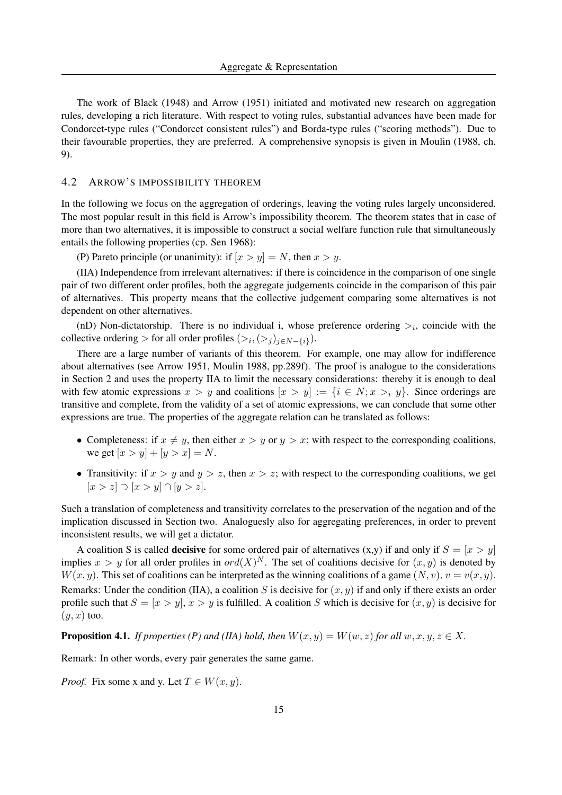The work of Black (1948) and Arrow (1951) initiated and motivated new research on aggregation rules, developing a rich literature. With respect to voting rules, substantial advances have been made for Condorcet-type rules ("Condorcet consistent rules") and Borda-type rules ("scoring methods"). Due to their favourable properties, they are preferred. A comprehensive synopsis is given in Moulin (1988, ch. 9).

#### 4.2 ARROW'S IMPOSSIBILITY THEOREM

In the following we focus on the aggregation of orderings, leaving the voting rules largely unconsidered. The most popular result in this field is Arrow's impossibility theorem. The theorem states that in case of more than two alternatives, it is impossible to construct a social welfare function rule that simultaneously entails the following properties (cp. Sen 1968):

(P) Pareto principle (or unanimity): if  $[x > y] = N$ , then  $x > y$ .

(IIA) Independence from irrelevant alternatives: if there is coincidence in the comparison of one single pair of two different order profiles, both the aggregate judgements coincide in the comparison of this pair of alternatives. This property means that the collective judgement comparing some alternatives is not dependent on other alternatives.

(nD) Non-dictatorship. There is no individual i, whose preference ordering  $>_i$ , coincide with the collective ordering > for all order profiles  $(>_i, (>_j)_{j \in N - \{i\}})$ .

There are a large number of variants of this theorem. For example, one may allow for indifference about alternatives (see Arrow 1951, Moulin 1988, pp.289f). The proof is analogue to the considerations in Section 2 and uses the property IIA to limit the necessary considerations: thereby it is enough to deal with few atomic expressions  $x > y$  and coalitions  $[x > y] := \{i \in N; x > i \}$ . Since orderings are transitive and complete, from the validity of a set of atomic expressions, we can conclude that some other expressions are true. The properties of the aggregate relation can be translated as follows:

- Completeness: if  $x \neq y$ , then either  $x > y$  or  $y > x$ ; with respect to the corresponding coalitions, we get  $[x > y] + [y > x] = N$ .
- Transitivity: if  $x > y$  and  $y > z$ , then  $x > z$ ; with respect to the corresponding coalitions, we get  $[x > z] \supset [x > y] \cap [y > z].$

Such a translation of completeness and transitivity correlates to the preservation of the negation and of the implication discussed in Section two. Analoguesly also for aggregating preferences, in order to prevent inconsistent results, we will get a dictator.

A coalition S is called **decisive** for some ordered pair of alternatives  $(x,y)$  if and only if  $S = [x > y]$ implies  $x > y$  for all order profiles in  $ord(X)^N$ . The set of coalitions decisive for  $(x, y)$  is denoted by  $W(x, y)$ . This set of coalitions can be interpreted as the winning coalitions of a game  $(N, v)$ ,  $v = v(x, y)$ . Remarks: Under the condition (IIA), a coalition S is decisive for  $(x, y)$  if and only if there exists an order profile such that  $S = [x > y]$ ,  $x > y$  is fulfilled. A coalition S which is decisive for  $(x, y)$  is decisive for  $(y, x)$  too.

**Proposition 4.1.** *If properties (P) and (IIA) hold, then*  $W(x, y) = W(w, z)$  *for all*  $w, x, y, z \in X$ .

Remark: In other words, every pair generates the same game.

*Proof.* Fix some x and y. Let  $T \in W(x, y)$ .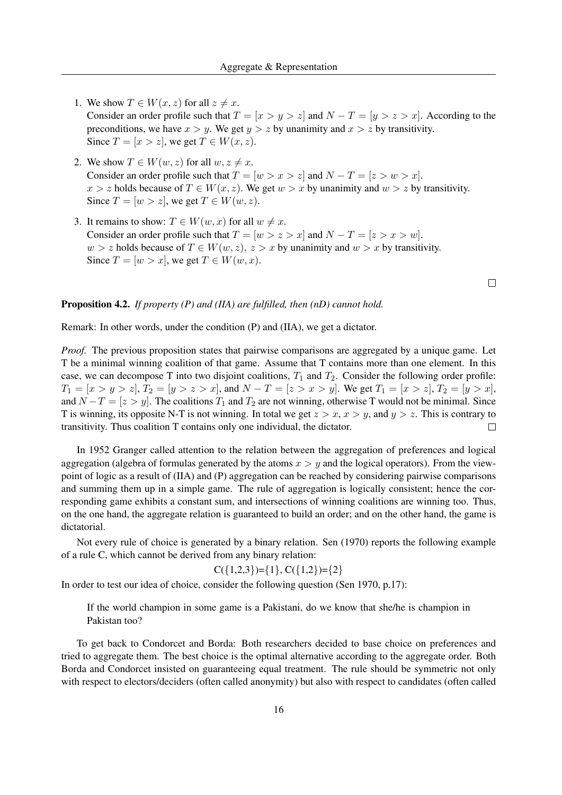- 1. We show  $T \in W(x, z)$  for all  $z \neq x$ . Consider an order profile such that  $T = [x > y > z]$  and  $N - T = [y > z > x]$ . According to the preconditions, we have  $x > y$ . We get  $y > z$  by unanimity and  $x > z$  by transitivity. Since  $T = [x > z]$ , we get  $T \in W(x, z)$ .
- 2. We show  $T \in W(w, z)$  for all  $w, z \neq x$ . Consider an order profile such that  $T = [w > x > z]$  and  $N - T = [z > w > x]$ .  $x > z$  holds because of  $T \in W(x, z)$ . We get  $w > x$  by unanimity and  $w > z$  by transitivity. Since  $T = [w > z]$ , we get  $T \in W(w, z)$ .
- 3. It remains to show:  $T \in W(w, x)$  for all  $w \neq x$ . Consider an order profile such that  $T = [w > z > x]$  and  $N - T = [z > x > w]$ .  $w > z$  holds because of  $T \in W(w, z)$ ,  $z > x$  by unanimity and  $w > x$  by transitivity. Since  $T = [w > x]$ , we get  $T \in W(w, x)$ .

## Proposition 4.2. *If property (P) and (IIA) are fulfilled, then (nD) cannot hold.*

Remark: In other words, under the condition (P) and (IIA), we get a dictator.

*Proof.* The previous proposition states that pairwise comparisons are aggregated by a unique game. Let T be a minimal winning coalition of that game. Assume that T contains more than one element. In this case, we can decompose T into two disjoint coalitions,  $T_1$  and  $T_2$ . Consider the following order profile:  $T_1 = [x > y > z], T_2 = [y > z > x],$  and  $N - T = [z > x > y]$ . We get  $T_1 = [x > z], T_2 = [y > x]$ , and  $N - T = [z > y]$ . The coalitions  $T_1$  and  $T_2$  are not winning, otherwise T would not be minimal. Since T is winning, its opposite N-T is not winning. In total we get  $z > x$ ,  $x > y$ , and  $y > z$ . This is contrary to transitivity. Thus coalition T contains only one individual, the dictator.  $\Box$ 

In 1952 Granger called attention to the relation between the aggregation of preferences and logical aggregation (algebra of formulas generated by the atoms  $x > y$  and the logical operators). From the viewpoint of logic as a result of (IIA) and (P) aggregation can be reached by considering pairwise comparisons and summing them up in a simple game. The rule of aggregation is logically consistent; hence the corresponding game exhibits a constant sum, and intersections of winning coalitions are winning too. Thus, on the one hand, the aggregate relation is guaranteed to build an order; and on the other hand, the game is dictatorial.

Not every rule of choice is generated by a binary relation. Sen (1970) reports the following example of a rule C, which cannot be derived from any binary relation:

$$
C({1,2,3})={1}, C({1,2})={2}
$$

In order to test our idea of choice, consider the following question (Sen 1970, p.17):

If the world champion in some game is a Pakistani, do we know that she/he is champion in Pakistan too?

To get back to Condorcet and Borda: Both researchers decided to base choice on preferences and tried to aggregate them. The best choice is the optimal alternative according to the aggregate order. Both Borda and Condorcet insisted on guaranteeing equal treatment. The rule should be symmetric not only with respect to electors/deciders (often called anonymity) but also with respect to candidates (often called

 $\Box$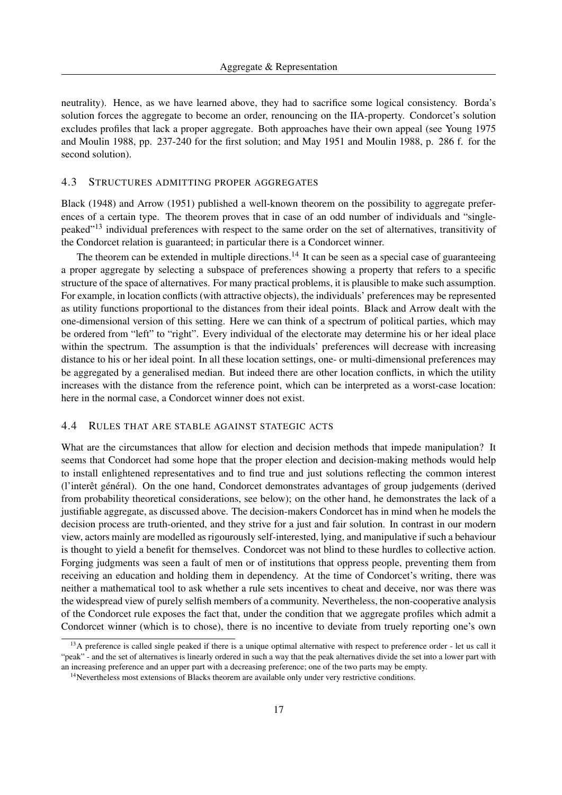neutrality). Hence, as we have learned above, they had to sacrifice some logical consistency. Borda's solution forces the aggregate to become an order, renouncing on the IIA-property. Condorcet's solution excludes profiles that lack a proper aggregate. Both approaches have their own appeal (see Young 1975 and Moulin 1988, pp. 237-240 for the first solution; and May 1951 and Moulin 1988, p. 286 f. for the second solution).

## 4.3 STRUCTURES ADMITTING PROPER AGGREGATES

Black (1948) and Arrow (1951) published a well-known theorem on the possibility to aggregate preferences of a certain type. The theorem proves that in case of an odd number of individuals and "singlepeaked"<sup>13</sup> individual preferences with respect to the same order on the set of alternatives, transitivity of the Condorcet relation is guaranteed; in particular there is a Condorcet winner.

The theorem can be extended in multiple directions.<sup>14</sup> It can be seen as a special case of guaranteeing a proper aggregate by selecting a subspace of preferences showing a property that refers to a specific structure of the space of alternatives. For many practical problems, it is plausible to make such assumption. For example, in location conflicts (with attractive objects), the individuals' preferences may be represented as utility functions proportional to the distances from their ideal points. Black and Arrow dealt with the one-dimensional version of this setting. Here we can think of a spectrum of political parties, which may be ordered from "left" to "right". Every individual of the electorate may determine his or her ideal place within the spectrum. The assumption is that the individuals' preferences will decrease with increasing distance to his or her ideal point. In all these location settings, one- or multi-dimensional preferences may be aggregated by a generalised median. But indeed there are other location conflicts, in which the utility increases with the distance from the reference point, which can be interpreted as a worst-case location: here in the normal case, a Condorcet winner does not exist.

#### 4.4 RULES THAT ARE STABLE AGAINST STATEGIC ACTS

What are the circumstances that allow for election and decision methods that impede manipulation? It seems that Condorcet had some hope that the proper election and decision-making methods would help to install enlightened representatives and to find true and just solutions reflecting the common interest (l'interêt général). On the one hand, Condorcet demonstrates advantages of group judgements (derived from probability theoretical considerations, see below); on the other hand, he demonstrates the lack of a justifiable aggregate, as discussed above. The decision-makers Condorcet has in mind when he models the decision process are truth-oriented, and they strive for a just and fair solution. In contrast in our modern view, actors mainly are modelled as rigourously self-interested, lying, and manipulative if such a behaviour is thought to yield a benefit for themselves. Condorcet was not blind to these hurdles to collective action. Forging judgments was seen a fault of men or of institutions that oppress people, preventing them from receiving an education and holding them in dependency. At the time of Condorcet's writing, there was neither a mathematical tool to ask whether a rule sets incentives to cheat and deceive, nor was there was the widespread view of purely selfish members of a community. Nevertheless, the non-cooperative analysis of the Condorcet rule exposes the fact that, under the condition that we aggregate profiles which admit a Condorcet winner (which is to chose), there is no incentive to deviate from truely reporting one's own

<sup>&</sup>lt;sup>13</sup>A preference is called single peaked if there is a unique optimal alternative with respect to preference order - let us call it "peak" - and the set of alternatives is linearly ordered in such a way that the peak alternatives divide the set into a lower part with an increasing preference and an upper part with a decreasing preference; one of the two parts may be empty.

<sup>&</sup>lt;sup>14</sup>Nevertheless most extensions of Blacks theorem are available only under very restrictive conditions.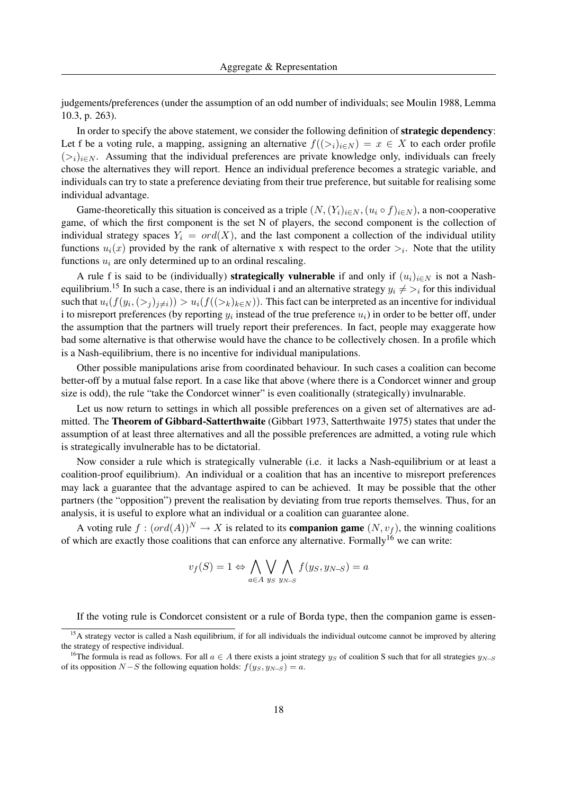judgements/preferences (under the assumption of an odd number of individuals; see Moulin 1988, Lemma 10.3, p. 263).

In order to specify the above statement, we consider the following definition of **strategic dependency**: Let f be a voting rule, a mapping, assigning an alternative  $f((\gt_i)_{i\in N}) = x \in X$  to each order profile  $(>i)_{i\in\mathbb{N}}$ . Assuming that the individual preferences are private knowledge only, individuals can freely chose the alternatives they will report. Hence an individual preference becomes a strategic variable, and individuals can try to state a preference deviating from their true preference, but suitable for realising some individual advantage.

Game-theoretically this situation is conceived as a triple  $(N,(Y_i)_{i\in N},(u_i\circ f)_{i\in N})$ , a non-cooperative game, of which the first component is the set N of players, the second component is the collection of individual strategy spaces  $Y_i = ord(X)$ , and the last component a collection of the individual utility functions  $u_i(x)$  provided by the rank of alternative x with respect to the order  $\gt_i$ . Note that the utility functions  $u_i$  are only determined up to an ordinal rescaling.

A rule f is said to be (individually) **strategically vulnerable** if and only if  $(u_i)_{i\in\mathbb{N}}$  is not a Nashequilibrium.<sup>15</sup> In such a case, there is an individual i and an alternative strategy  $y_i \neq >i$  for this individual such that  $u_i(f(y_i, \langle >_j)_{j\neq i}) > u_i(f(\langle >_k)_{k\in N})$ . This fact can be interpreted as an incentive for individual i to misreport preferences (by reporting  $y_i$  instead of the true preference  $u_i$ ) in order to be better off, under the assumption that the partners will truely report their preferences. In fact, people may exaggerate how bad some alternative is that otherwise would have the chance to be collectively chosen. In a profile which is a Nash-equilibrium, there is no incentive for individual manipulations.

Other possible manipulations arise from coordinated behaviour. In such cases a coalition can become better-off by a mutual false report. In a case like that above (where there is a Condorcet winner and group size is odd), the rule "take the Condorcet winner" is even coalitionally (strategically) invulnarable.

Let us now return to settings in which all possible preferences on a given set of alternatives are admitted. The Theorem of Gibbard-Satterthwaite (Gibbart 1973, Satterthwaite 1975) states that under the assumption of at least three alternatives and all the possible preferences are admitted, a voting rule which is strategically invulnerable has to be dictatorial.

Now consider a rule which is strategically vulnerable (i.e. it lacks a Nash-equilibrium or at least a coalition-proof equilibrium). An individual or a coalition that has an incentive to misreport preferences may lack a guarantee that the advantage aspired to can be achieved. It may be possible that the other partners (the "opposition") prevent the realisation by deviating from true reports themselves. Thus, for an analysis, it is useful to explore what an individual or a coalition can guarantee alone.

A voting rule  $f : (ord(A))^N \to X$  is related to its **companion game**  $(N, v_f)$ , the winning coalitions of which are exactly those coalitions that can enforce any alternative. Formally<sup>16</sup> we can write:

$$
v_f(S) = 1 \Leftrightarrow \bigwedge_{a \in A} \bigvee_{y_S} \bigwedge_{y_{N-S}} f(y_S, y_{N-S}) = a
$$

If the voting rule is Condorcet consistent or a rule of Borda type, then the companion game is essen-

<sup>&</sup>lt;sup>15</sup>A strategy vector is called a Nash equilibrium, if for all individuals the individual outcome cannot be improved by altering the strategy of respective individual.

<sup>&</sup>lt;sup>16</sup>The formula is read as follows. For all  $a \in A$  there exists a joint strategy  $y_S$  of coalition S such that for all strategies  $y_{N-S}$ of its opposition  $N-S$  the following equation holds:  $f(y_S, y_{N-S}) = a$ .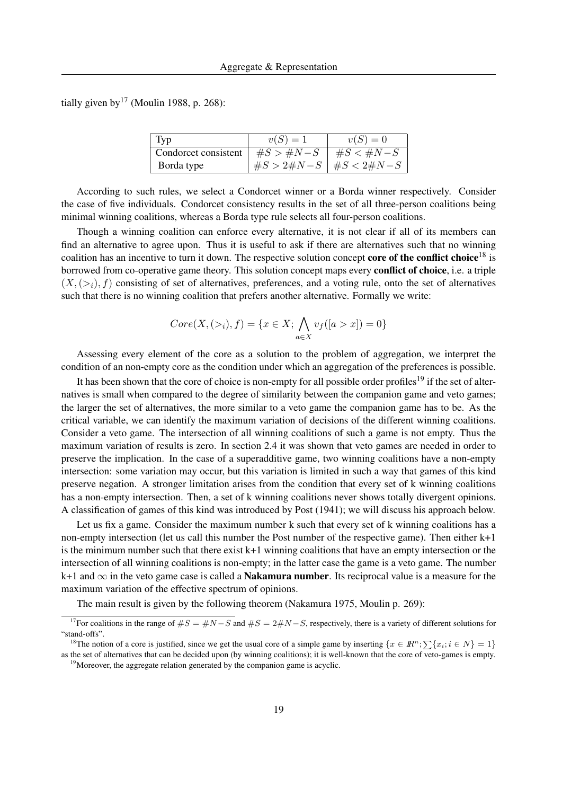tially given by  $17$  (Moulin 1988, p. 268):

| Typ                  | $v(S)=1$                        | $v(S)=0$ |
|----------------------|---------------------------------|----------|
| Condorcet consistent | $\#S > \#N-S$   $\#S < \#N-S$   |          |
| Borda type           | $\#S > 2\#N-S$   $\#S < 2\#N-S$ |          |

According to such rules, we select a Condorcet winner or a Borda winner respectively. Consider the case of five individuals. Condorcet consistency results in the set of all three-person coalitions being minimal winning coalitions, whereas a Borda type rule selects all four-person coalitions.

Though a winning coalition can enforce every alternative, it is not clear if all of its members can find an alternative to agree upon. Thus it is useful to ask if there are alternatives such that no winning coalition has an incentive to turn it down. The respective solution concept **core of the conflict choice**<sup>18</sup> is borrowed from co-operative game theory. This solution concept maps every conflict of choice, i.e. a triple  $(X,(\geq_i), f)$  consisting of set of alternatives, preferences, and a voting rule, onto the set of alternatives such that there is no winning coalition that prefers another alternative. Formally we write:

$$
Core(X, (>_i), f) = \{x \in X; \bigwedge_{a \in X} v_f([a > x]) = 0\}
$$

Assessing every element of the core as a solution to the problem of aggregation, we interpret the condition of an non-empty core as the condition under which an aggregation of the preferences is possible.

It has been shown that the core of choice is non-empty for all possible order profiles<sup>19</sup> if the set of alternatives is small when compared to the degree of similarity between the companion game and veto games; the larger the set of alternatives, the more similar to a veto game the companion game has to be. As the critical variable, we can identify the maximum variation of decisions of the different winning coalitions. Consider a veto game. The intersection of all winning coalitions of such a game is not empty. Thus the maximum variation of results is zero. In section 2.4 it was shown that veto games are needed in order to preserve the implication. In the case of a superadditive game, two winning coalitions have a non-empty intersection: some variation may occur, but this variation is limited in such a way that games of this kind preserve negation. A stronger limitation arises from the condition that every set of k winning coalitions has a non-empty intersection. Then, a set of k winning coalitions never shows totally divergent opinions. A classification of games of this kind was introduced by Post (1941); we will discuss his approach below.

Let us fix a game. Consider the maximum number k such that every set of k winning coalitions has a non-empty intersection (let us call this number the Post number of the respective game). Then either k+1 is the minimum number such that there exist  $k+1$  winning coalitions that have an empty intersection or the intersection of all winning coalitions is non-empty; in the latter case the game is a veto game. The number k+1 and  $\infty$  in the veto game case is called a **Nakamura number**. Its reciprocal value is a measure for the maximum variation of the effective spectrum of opinions.

The main result is given by the following theorem (Nakamura 1975, Moulin p. 269):

<sup>&</sup>lt;sup>17</sup>For coalitions in the range of  $\#S = \#N - S$  and  $\#S = 2\#N - S$ , respectively, there is a variety of different solutions for "stand-offs".

<sup>&</sup>lt;sup>18</sup>The notion of a core is justified, since we get the usual core of a simple game by inserting  $\{x \in \mathbb{R}^n; \sum \{x_i; i \in N\} = 1\}$ as the set of alternatives that can be decided upon (by winning coalitions); it is well-known that the core of veto-games is empty.

<sup>&</sup>lt;sup>19</sup>Moreover, the aggregate relation generated by the companion game is acyclic.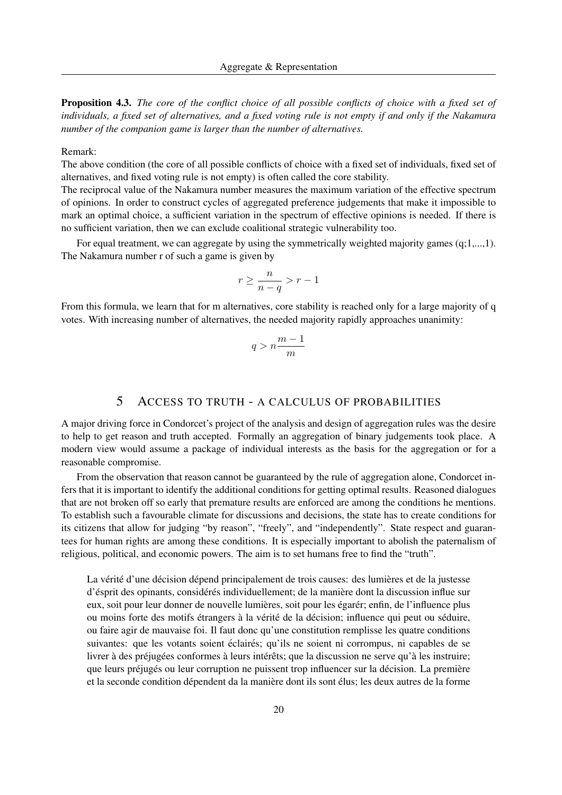Proposition 4.3. *The core of the conflict choice of all possible conflicts of choice with a fixed set of individuals, a fixed set of alternatives, and a fixed voting rule is not empty if and only if the Nakamura number of the companion game is larger than the number of alternatives.*

### Remark:

The above condition (the core of all possible conflicts of choice with a fixed set of individuals, fixed set of alternatives, and fixed voting rule is not empty) is often called the core stability.

The reciprocal value of the Nakamura number measures the maximum variation of the effective spectrum of opinions. In order to construct cycles of aggregated preference judgements that make it impossible to mark an optimal choice, a sufficient variation in the spectrum of effective opinions is needed. If there is no sufficient variation, then we can exclude coalitional strategic vulnerability too.

For equal treatment, we can aggregate by using the symmetrically weighted majority games  $(q;1,...,1)$ . The Nakamura number r of such a game is given by

$$
r \ge \frac{n}{n-q} > r - 1
$$

From this formula, we learn that for m alternatives, core stability is reached only for a large majority of q votes. With increasing number of alternatives, the needed majority rapidly approaches unanimity:

$$
q > n \frac{m-1}{m}
$$

## 5 ACCESS TO TRUTH - A CALCULUS OF PROBABILITIES

A major driving force in Condorcet's project of the analysis and design of aggregation rules was the desire to help to get reason and truth accepted. Formally an aggregation of binary judgements took place. A modern view would assume a package of individual interests as the basis for the aggregation or for a reasonable compromise.

From the observation that reason cannot be guaranteed by the rule of aggregation alone, Condorcet infers that it is important to identify the additional conditions for getting optimal results. Reasoned dialogues that are not broken off so early that premature results are enforced are among the conditions he mentions. To establish such a favourable climate for discussions and decisions, the state has to create conditions for its citizens that allow for judging "by reason", "freely", and "independently". State respect and guarantees for human rights are among these conditions. It is especially important to abolish the paternalism of religious, political, and economic powers. The aim is to set humans free to find the "truth".

La vérité d'une décision dépend principalement de trois causes: des lumières et de la justesse d'ésprit des opinants, considérés individuellement; de la manière dont la discussion influe sur eux, soit pour leur donner de nouvelle lumières, soit pour les égarér; enfin, de l'influence plus ou moins forte des motifs étrangers à la vérité de la décision; influence qui peut ou séduire, ou faire agir de mauvaise foi. Il faut donc qu'une constitution remplisse les quatre conditions suivantes: que les votants soient éclairés; qu'ils ne soient ni corrompus, ni capables de se livrer à des préjugées conformes à leurs intérêts; que la discussion ne serve qu'à les instruire; que leurs préjugés ou leur corruption ne puissent trop influencer sur la décision. La première et la seconde condition dépendent da la manière dont ils sont élus; les deux autres de la forme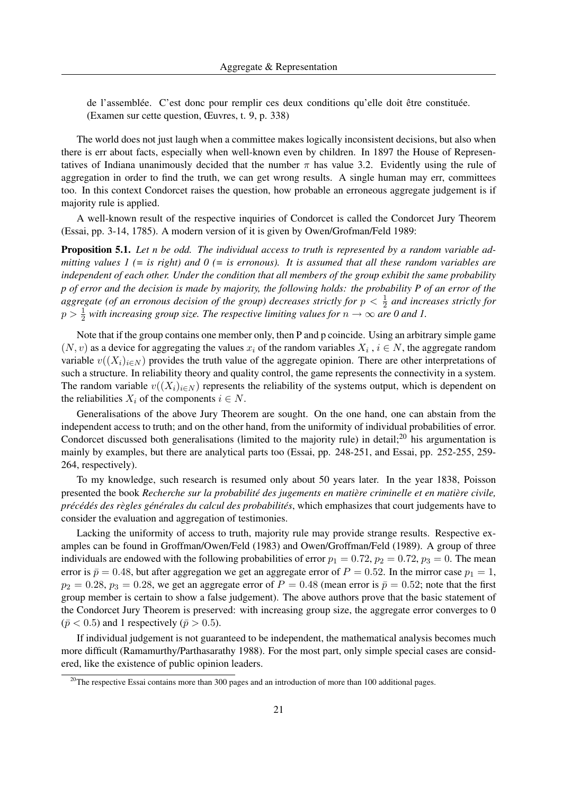de l'assemblée. C'est donc pour remplir ces deux conditions qu'elle doit être constituée. (Examen sur cette question, Œuvres, t. 9, p. 338)

The world does not just laugh when a committee makes logically inconsistent decisions, but also when there is err about facts, especially when well-known even by children. In 1897 the House of Representatives of Indiana unanimously decided that the number  $\pi$  has value 3.2. Evidently using the rule of aggregation in order to find the truth, we can get wrong results. A single human may err, committees too. In this context Condorcet raises the question, how probable an erroneous aggregate judgement is if majority rule is applied.

A well-known result of the respective inquiries of Condorcet is called the Condorcet Jury Theorem (Essai, pp. 3-14, 1785). A modern version of it is given by Owen/Grofman/Feld 1989:

Proposition 5.1. *Let n be odd. The individual access to truth is represented by a random variable admitting values 1 (= is right) and 0 (= is erronous). It is assumed that all these random variables are independent of each other. Under the condition that all members of the group exhibit the same probability p of error and the decision is made by majority, the following holds: the probability P of an error of the aggregate (of an erronous decision of the group) decreases strictly for*  $p < \frac{1}{2}$  and increases strictly for  $p > \frac{1}{2}$  with increasing group size. The respective limiting values for  $n \to \infty$  are 0 and 1.

Note that if the group contains one member only, then P and p coincide. Using an arbitrary simple game  $(N, v)$  as a device for aggregating the values  $x_i$  of the random variables  $X_i$ ,  $i \in N$ , the aggregate random variable  $v((X_i)_{i\in N})$  provides the truth value of the aggregate opinion. There are other interpretations of such a structure. In reliability theory and quality control, the game represents the connectivity in a system. The random variable  $v((X_i)_{i\in N})$  represents the reliability of the systems output, which is dependent on the reliabilities  $X_i$  of the components  $i \in N$ .

Generalisations of the above Jury Theorem are sought. On the one hand, one can abstain from the independent access to truth; and on the other hand, from the uniformity of individual probabilities of error. Condorcet discussed both generalisations (limited to the majority rule) in detail;<sup>20</sup> his argumentation is mainly by examples, but there are analytical parts too (Essai, pp. 248-251, and Essai, pp. 252-255, 259- 264, respectively).

To my knowledge, such research is resumed only about 50 years later. In the year 1838, Poisson presented the book *Recherche sur la probabilite des jugements en mati ´ ere criminelle et en mati ` ere civile, ` prec´ ed´ es des r ´ egles g ` en´ erales du calcul des probabilit ´ es´* , which emphasizes that court judgements have to consider the evaluation and aggregation of testimonies.

Lacking the uniformity of access to truth, majority rule may provide strange results. Respective examples can be found in Groffman/Owen/Feld (1983) and Owen/Groffman/Feld (1989). A group of three individuals are endowed with the following probabilities of error  $p_1 = 0.72$ ,  $p_2 = 0.72$ ,  $p_3 = 0$ . The mean error is  $\bar{p} = 0.48$ , but after aggregation we get an aggregate error of  $P = 0.52$ . In the mirror case  $p_1 = 1$ ,  $p_2 = 0.28$ ,  $p_3 = 0.28$ , we get an aggregate error of  $P = 0.48$  (mean error is  $\bar{p} = 0.52$ ; note that the first group member is certain to show a false judgement). The above authors prove that the basic statement of the Condorcet Jury Theorem is preserved: with increasing group size, the aggregate error converges to 0  $(\bar{p} < 0.5)$  and 1 respectively ( $\bar{p} > 0.5$ ).

If individual judgement is not guaranteed to be independent, the mathematical analysis becomes much more difficult (Ramamurthy/Parthasarathy 1988). For the most part, only simple special cases are considered, like the existence of public opinion leaders.

 $20$ The respective Essai contains more than 300 pages and an introduction of more than 100 additional pages.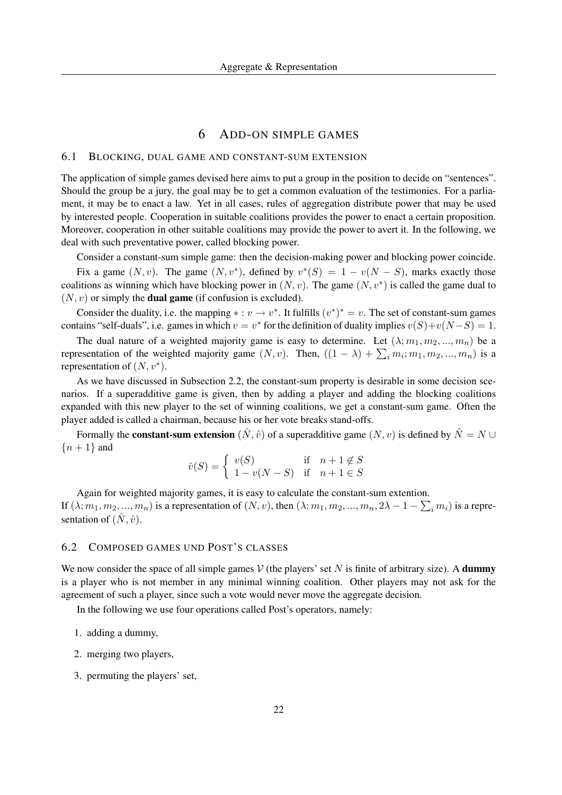## 6 ADD-ON SIMPLE GAMES

## 6.1 BLOCKING, DUAL GAME AND CONSTANT-SUM EXTENSION

The application of simple games devised here aims to put a group in the position to decide on "sentences". Should the group be a jury, the goal may be to get a common evaluation of the testimonies. For a parliament, it may be to enact a law. Yet in all cases, rules of aggregation distribute power that may be used by interested people. Cooperation in suitable coalitions provides the power to enact a certain proposition. Moreover, cooperation in other suitable coalitions may provide the power to avert it. In the following, we deal with such preventative power, called blocking power.

Consider a constant-sum simple game: then the decision-making power and blocking power coincide.

Fix a game  $(N, v)$ . The game  $(N, v^*)$ , defined by  $v^*(S) = 1 - v(N - S)$ , marks exactly those coalitions as winning which have blocking power in  $(N, v)$ . The game  $(N, v^*)$  is called the game dual to  $(N, v)$  or simply the **dual game** (if confusion is excluded).

Consider the duality, i.e. the mapping  $\ast : v \to v^*$ . It fulfills  $(v^*)^* = v$ . The set of constant-sum games contains "self-duals", i.e. games in which  $v = v^*$  for the definition of duality implies  $v(S) + v(N - S) = 1$ .

The dual nature of a weighted majority game is easy to determine. Let  $(\lambda; m_1, m_2, ..., m_n)$  be a representation of the weighted majority game  $(N, v)$ . Then,  $((1 - \lambda) + \sum_i m_i; m_1, m_2, ..., m_n)$  is a representation of  $(N, v^*)$ .

As we have discussed in Subsection 2.2, the constant-sum property is desirable in some decision scenarios. If a superadditive game is given, then by adding a player and adding the blocking coalitions expanded with this new player to the set of winning coalitions, we get a constant-sum game. Often the player added is called a chairman, because his or her vote breaks stand-offs.

Formally the **constant-sum extension**  $(\hat{N}, \hat{v})$  of a superadditive game  $(N, v)$  is defined by  $\hat{N} = N \cup$  ${n+1}$  and

$$
\hat{v}(S) = \begin{cases} v(S) & \text{if } n+1 \notin S \\ 1 - v(N-S) & \text{if } n+1 \in S \end{cases}
$$

Again for weighted majority games, it is easy to calculate the constant-sum extention. If  $(\lambda; m_1, m_2, ..., m_n)$  is a representation of  $(N, v)$ , then  $(\lambda; m_1, m_2, ..., m_n, 2\lambda - 1 - \sum_i m_i)$  is a representation of  $(\tilde{N}, \hat{v})$ .

## 6.2 COMPOSED GAMES UND POST'S CLASSES

We now consider the space of all simple games  $V$  (the players' set N is finite of arbitrary size). A **dummy** is a player who is not member in any minimal winning coalition. Other players may not ask for the agreement of such a player, since such a vote would never move the aggregate decision.

In the following we use four operations called Post's operators, namely:

- 1. adding a dummy,
- 2. merging two players,
- 3. permuting the players' set,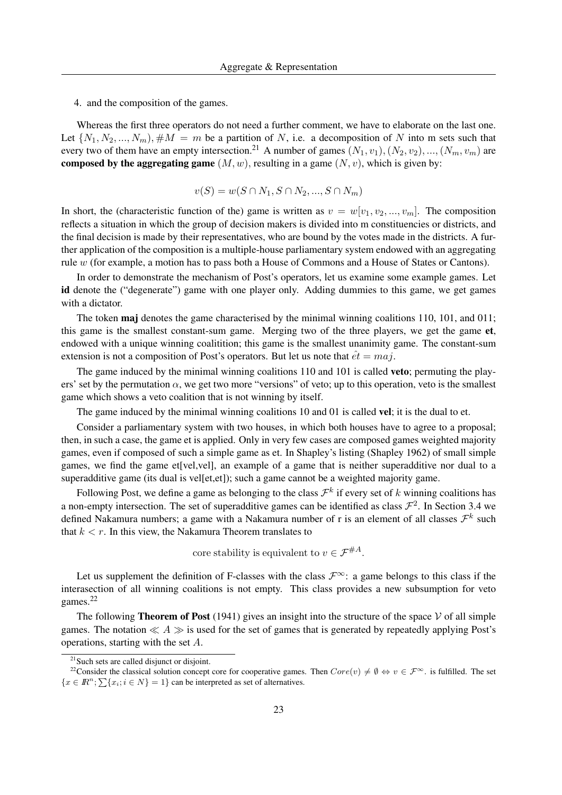4. and the composition of the games.

Whereas the first three operators do not need a further comment, we have to elaborate on the last one. Let  $\{N_1, N_2, ..., N_m\}, \#M = m$  be a partition of N, i.e. a decomposition of N into m sets such that every two of them have an empty intersection.<sup>21</sup> A number of games  $(N_1, v_1), (N_2, v_2), ..., (N_m, v_m)$  are composed by the aggregating game  $(M, w)$ , resulting in a game  $(N, v)$ , which is given by:

$$
v(S) = w(S \cap N_1, S \cap N_2, ..., S \cap N_m)
$$

In short, the (characteristic function of the) game is written as  $v = w[v_1, v_2, ..., v_m]$ . The composition reflects a situation in which the group of decision makers is divided into m constituencies or districts, and the final decision is made by their representatives, who are bound by the votes made in the districts. A further application of the composition is a multiple-house parliamentary system endowed with an aggregating rule w (for example, a motion has to pass both a House of Commons and a House of States or Cantons).

In order to demonstrate the mechanism of Post's operators, let us examine some example games. Let id denote the ("degenerate") game with one player only. Adding dummies to this game, we get games with a dictator.

The token **maj** denotes the game characterised by the minimal winning coalitions 110, 101, and 011; this game is the smallest constant-sum game. Merging two of the three players, we get the game et, endowed with a unique winning coalitition; this game is the smallest unanimity game. The constant-sum extension is not a composition of Post's operators. But let us note that  $\hat{et} = maj$ .

The game induced by the minimal winning coalitions 110 and 101 is called **veto**; permuting the players' set by the permutation  $\alpha$ , we get two more "versions" of veto; up to this operation, veto is the smallest game which shows a veto coalition that is not winning by itself.

The game induced by the minimal winning coalitions 10 and 01 is called **vel**; it is the dual to et.

Consider a parliamentary system with two houses, in which both houses have to agree to a proposal; then, in such a case, the game et is applied. Only in very few cases are composed games weighted majority games, even if composed of such a simple game as et. In Shapley's listing (Shapley 1962) of small simple games, we find the game et[vel,vel], an example of a game that is neither superadditive nor dual to a superadditive game (its dual is vel[et,et]); such a game cannot be a weighted majority game.

Following Post, we define a game as belonging to the class  $\mathcal{F}^k$  if every set of k winning coalitions has a non-empty intersection. The set of superadditive games can be identified as class  $\mathcal{F}^2$ . In Section 3.4 we defined Nakamura numbers; a game with a Nakamura number of r is an element of all classes  $\mathcal{F}^k$  such that  $k < r$ . In this view, the Nakamura Theorem translates to

core stability is equivalent to  $v \in \mathcal{F}^{\#A}$ .

Let us supplement the definition of F-classes with the class  $\mathcal{F}^{\infty}$ : a game belongs to this class if the interasection of all winning coalitions is not empty. This class provides a new subsumption for veto games.<sup>22</sup>

The following **Theorem of Post** (1941) gives an insight into the structure of the space  $\mathcal V$  of all simple games. The notation  $\ll A \gg$  is used for the set of games that is generated by repeatedly applying Post's operations, starting with the set A.

<sup>&</sup>lt;sup>21</sup> Such sets are called disjunct or disjoint.

<sup>&</sup>lt;sup>22</sup>Consider the classical solution concept core for cooperative games. Then  $Core(v) \neq \emptyset \Leftrightarrow v \in \mathcal{F}^{\infty}$ . is fulfilled. The set  ${x \in \mathbb{R}^n; \sum {x_i; i \in N} = 1}$  can be interpreted as set of alternatives.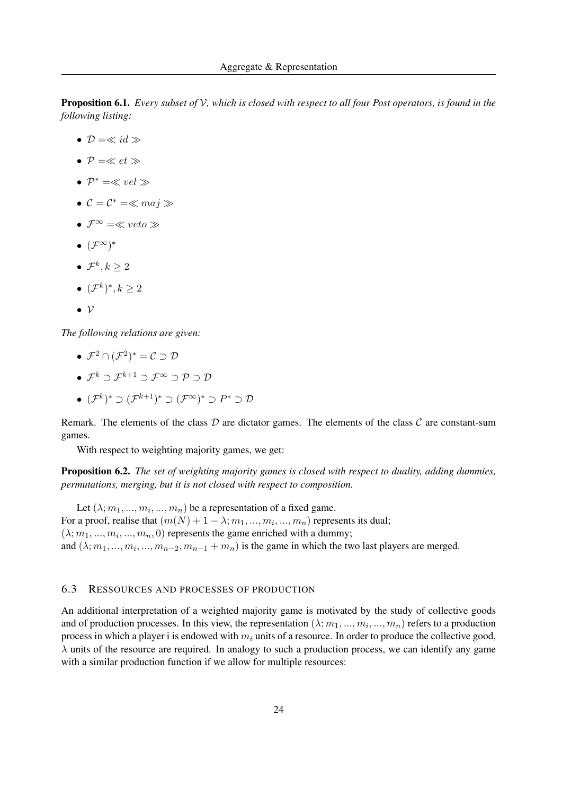Proposition 6.1. *Every subset of* V*, which is closed with respect to all four Post operators, is found in the following listing:*

- $\mathcal{D} = \ll id \gg$
- $P = \ll et \gg$
- $\mathcal{P}^* = \ll vel \gg$
- $C = C^* = \ll maj \gg$
- $\mathcal{F}^{\infty} = \ll veto \gg$
- $\bullet$   $({\mathcal F}^\infty)^*$
- $\bullet\;\mathcal{F}^k, k\geq 2$
- $({\mathcal{F}}^k)^*, k \geq 2$
- $\bullet \nu$

*The following relations are given:*

- $\bullet \ \mathcal{F}^2 \cap (\mathcal{F}^2)^* = \mathcal{C} \supset \mathcal{D}$
- $\mathcal{F}^k \supset \mathcal{F}^{k+1} \supset \mathcal{F}^{\infty} \supset \mathcal{P} \supset \mathcal{D}$
- $\bullet\,\,({\mathcal F}^k)^*\supset ({\mathcal F}^{k+1})^*\supset ({\mathcal F}^\infty)^*\supset P^*\supset {\mathcal D}$

Remark. The elements of the class  $D$  are dictator games. The elements of the class  $C$  are constant-sum games.

With respect to weighting majority games, we get:

Proposition 6.2. *The set of weighting majority games is closed with respect to duality, adding dummies, permutations, merging, but it is not closed with respect to composition.*

Let  $(\lambda; m_1, ..., m_i, ..., m_n)$  be a representation of a fixed game. For a proof, realise that  $(m(N) + 1 - \lambda; m_1, ..., m_i, ..., m_n)$  represents its dual;  $(\lambda; m_1, ..., m_i, ..., m_n, 0)$  represents the game enriched with a dummy; and  $(\lambda; m_1, ..., m_i, ..., m_{n-2}, m_{n-1} + m_n)$  is the game in which the two last players are merged.

## 6.3 RESSOURCES AND PROCESSES OF PRODUCTION

An additional interpretation of a weighted majority game is motivated by the study of collective goods and of production processes. In this view, the representation  $(\lambda; m_1, ..., m_i, ..., m_n)$  refers to a production process in which a player i is endowed with  $m_i$  units of a resource. In order to produce the collective good,  $\lambda$  units of the resource are required. In analogy to such a production process, we can identify any game with a similar production function if we allow for multiple resources: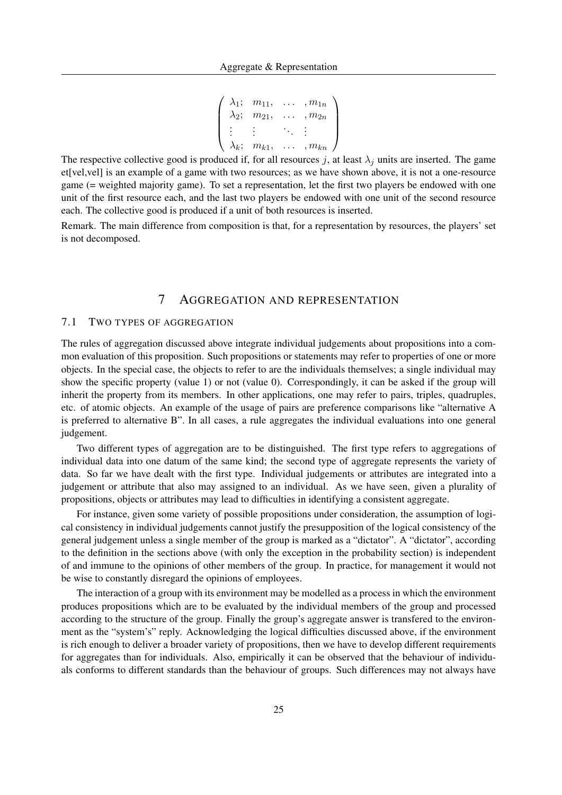```
\sqrt{ }\overline{\phantom{a}}\lambda_1; m_{11}, \ldots, m_{1n}\lambda_2; m_{21}, \ldots, m_{2n}.
.
.
.
.
.
.
.
.
.
.
.
     \lambda_k; m_{k1}, \ldots, m_{kn}\setminus\Bigg\}
```
The respective collective good is produced if, for all resources j, at least  $\lambda_j$  units are inserted. The game et[vel,vel] is an example of a game with two resources; as we have shown above, it is not a one-resource game (= weighted majority game). To set a representation, let the first two players be endowed with one unit of the first resource each, and the last two players be endowed with one unit of the second resource each. The collective good is produced if a unit of both resources is inserted.

Remark. The main difference from composition is that, for a representation by resources, the players' set is not decomposed.

# 7 AGGREGATION AND REPRESENTATION

## 7.1 TWO TYPES OF AGGREGATION

The rules of aggregation discussed above integrate individual judgements about propositions into a common evaluation of this proposition. Such propositions or statements may refer to properties of one or more objects. In the special case, the objects to refer to are the individuals themselves; a single individual may show the specific property (value 1) or not (value 0). Correspondingly, it can be asked if the group will inherit the property from its members. In other applications, one may refer to pairs, triples, quadruples, etc. of atomic objects. An example of the usage of pairs are preference comparisons like "alternative A is preferred to alternative B". In all cases, a rule aggregates the individual evaluations into one general judgement.

Two different types of aggregation are to be distinguished. The first type refers to aggregations of individual data into one datum of the same kind; the second type of aggregate represents the variety of data. So far we have dealt with the first type. Individual judgements or attributes are integrated into a judgement or attribute that also may assigned to an individual. As we have seen, given a plurality of propositions, objects or attributes may lead to difficulties in identifying a consistent aggregate.

For instance, given some variety of possible propositions under consideration, the assumption of logical consistency in individual judgements cannot justify the presupposition of the logical consistency of the general judgement unless a single member of the group is marked as a "dictator". A "dictator", according to the definition in the sections above (with only the exception in the probability section) is independent of and immune to the opinions of other members of the group. In practice, for management it would not be wise to constantly disregard the opinions of employees.

The interaction of a group with its environment may be modelled as a process in which the environment produces propositions which are to be evaluated by the individual members of the group and processed according to the structure of the group. Finally the group's aggregate answer is transfered to the environment as the "system's" reply. Acknowledging the logical difficulties discussed above, if the environment is rich enough to deliver a broader variety of propositions, then we have to develop different requirements for aggregates than for individuals. Also, empirically it can be observed that the behaviour of individuals conforms to different standards than the behaviour of groups. Such differences may not always have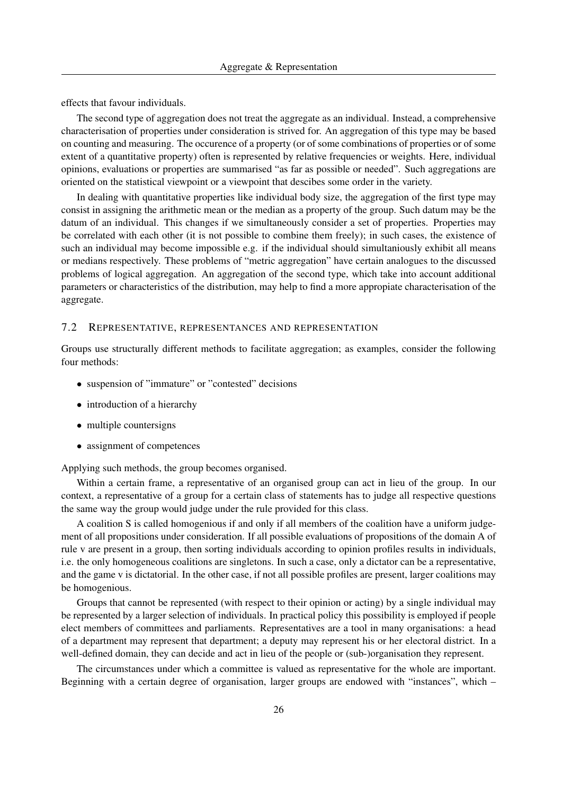effects that favour individuals.

The second type of aggregation does not treat the aggregate as an individual. Instead, a comprehensive characterisation of properties under consideration is strived for. An aggregation of this type may be based on counting and measuring. The occurence of a property (or of some combinations of properties or of some extent of a quantitative property) often is represented by relative frequencies or weights. Here, individual opinions, evaluations or properties are summarised "as far as possible or needed". Such aggregations are oriented on the statistical viewpoint or a viewpoint that descibes some order in the variety.

In dealing with quantitative properties like individual body size, the aggregation of the first type may consist in assigning the arithmetic mean or the median as a property of the group. Such datum may be the datum of an individual. This changes if we simultaneously consider a set of properties. Properties may be correlated with each other (it is not possible to combine them freely); in such cases, the existence of such an individual may become impossible e.g. if the individual should simultaniously exhibit all means or medians respectively. These problems of "metric aggregation" have certain analogues to the discussed problems of logical aggregation. An aggregation of the second type, which take into account additional parameters or characteristics of the distribution, may help to find a more appropiate characterisation of the aggregate.

#### 7.2 REPRESENTATIVE, REPRESENTANCES AND REPRESENTATION

Groups use structurally different methods to facilitate aggregation; as examples, consider the following four methods:

- suspension of "immature" or "contested" decisions
- introduction of a hierarchy
- multiple countersigns
- assignment of competences

Applying such methods, the group becomes organised.

Within a certain frame, a representative of an organised group can act in lieu of the group. In our context, a representative of a group for a certain class of statements has to judge all respective questions the same way the group would judge under the rule provided for this class.

A coalition S is called homogenious if and only if all members of the coalition have a uniform judgement of all propositions under consideration. If all possible evaluations of propositions of the domain A of rule v are present in a group, then sorting individuals according to opinion profiles results in individuals, i.e. the only homogeneous coalitions are singletons. In such a case, only a dictator can be a representative, and the game v is dictatorial. In the other case, if not all possible profiles are present, larger coalitions may be homogenious.

Groups that cannot be represented (with respect to their opinion or acting) by a single individual may be represented by a larger selection of individuals. In practical policy this possibility is employed if people elect members of committees and parliaments. Representatives are a tool in many organisations: a head of a department may represent that department; a deputy may represent his or her electoral district. In a well-defined domain, they can decide and act in lieu of the people or (sub-)organisation they represent.

The circumstances under which a committee is valued as representative for the whole are important. Beginning with a certain degree of organisation, larger groups are endowed with "instances", which –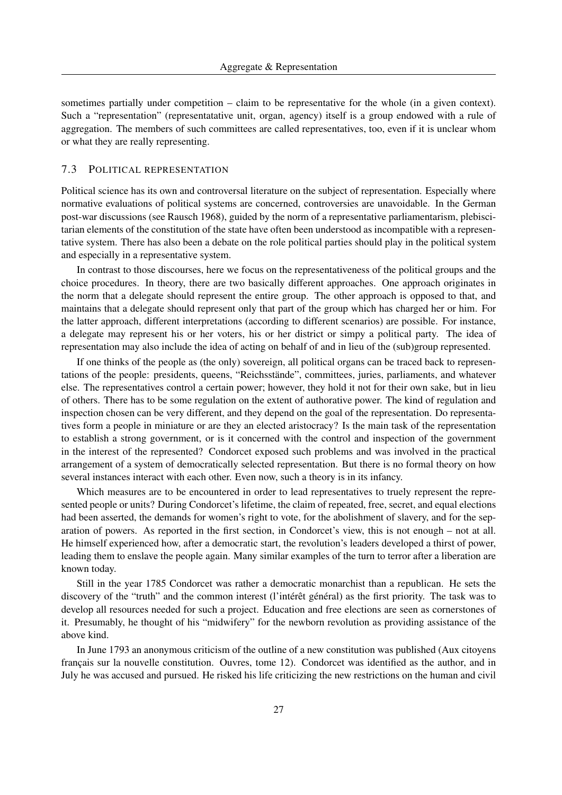sometimes partially under competition – claim to be representative for the whole (in a given context). Such a "representation" (representatative unit, organ, agency) itself is a group endowed with a rule of aggregation. The members of such committees are called representatives, too, even if it is unclear whom or what they are really representing.

## 7.3 POLITICAL REPRESENTATION

Political science has its own and controversal literature on the subject of representation. Especially where normative evaluations of political systems are concerned, controversies are unavoidable. In the German post-war discussions (see Rausch 1968), guided by the norm of a representative parliamentarism, plebiscitarian elements of the constitution of the state have often been understood as incompatible with a representative system. There has also been a debate on the role political parties should play in the political system and especially in a representative system.

In contrast to those discourses, here we focus on the representativeness of the political groups and the choice procedures. In theory, there are two basically different approaches. One approach originates in the norm that a delegate should represent the entire group. The other approach is opposed to that, and maintains that a delegate should represent only that part of the group which has charged her or him. For the latter approach, different interpretations (according to different scenarios) are possible. For instance, a delegate may represent his or her voters, his or her district or simpy a political party. The idea of representation may also include the idea of acting on behalf of and in lieu of the (sub)group represented.

If one thinks of the people as (the only) sovereign, all political organs can be traced back to representations of the people: presidents, queens, "Reichsstande", committees, juries, parliaments, and whatever ¨ else. The representatives control a certain power; however, they hold it not for their own sake, but in lieu of others. There has to be some regulation on the extent of authorative power. The kind of regulation and inspection chosen can be very different, and they depend on the goal of the representation. Do representatives form a people in miniature or are they an elected aristocracy? Is the main task of the representation to establish a strong government, or is it concerned with the control and inspection of the government in the interest of the represented? Condorcet exposed such problems and was involved in the practical arrangement of a system of democratically selected representation. But there is no formal theory on how several instances interact with each other. Even now, such a theory is in its infancy.

Which measures are to be encountered in order to lead representatives to truely represent the represented people or units? During Condorcet's lifetime, the claim of repeated, free, secret, and equal elections had been asserted, the demands for women's right to vote, for the abolishment of slavery, and for the separation of powers. As reported in the first section, in Condorcet's view, this is not enough – not at all. He himself experienced how, after a democratic start, the revolution's leaders developed a thirst of power, leading them to enslave the people again. Many similar examples of the turn to terror after a liberation are known today.

Still in the year 1785 Condorcet was rather a democratic monarchist than a republican. He sets the discovery of the "truth" and the common interest (l'intérêt général) as the first priority. The task was to develop all resources needed for such a project. Education and free elections are seen as cornerstones of it. Presumably, he thought of his "midwifery" for the newborn revolution as providing assistance of the above kind.

In June 1793 an anonymous criticism of the outline of a new constitution was published (Aux citoyens français sur la nouvelle constitution. Ouvres, tome 12). Condorcet was identified as the author, and in July he was accused and pursued. He risked his life criticizing the new restrictions on the human and civil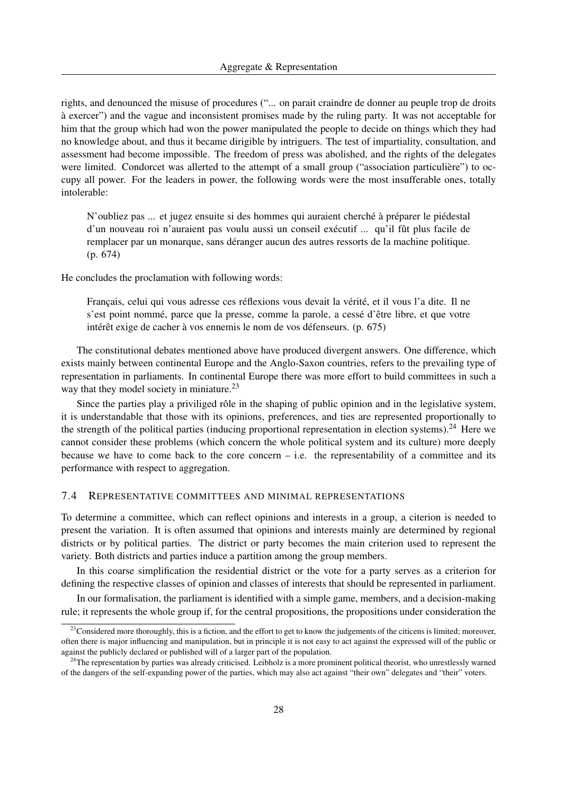rights, and denounced the misuse of procedures ("... on parait craindre de donner au peuple trop de droits a exercer") and the vague and inconsistent promises made by the ruling party. It was not acceptable for ` him that the group which had won the power manipulated the people to decide on things which they had no knowledge about, and thus it became dirigible by intriguers. The test of impartiality, consultation, and assessment had become impossible. The freedom of press was abolished, and the rights of the delegates were limited. Condorcet was allerted to the attempt of a small group ("association particulière") to occupy all power. For the leaders in power, the following words were the most insufferable ones, totally intolerable:

N'oubliez pas ... et jugez ensuite si des hommes qui auraient cherché à préparer le piédestal d'un nouveau roi n'auraient pas voulu aussi un conseil exécutif ... qu'il fût plus facile de remplacer par un monarque, sans déranger aucun des autres ressorts de la machine politique. (p. 674)

He concludes the proclamation with following words:

Français, celui qui vous adresse ces réflexions vous devait la vérité, et il vous l'a dite. Il ne s'est point nommé, parce que la presse, comme la parole, a cessé d'être libre, et que votre intérêt exige de cacher à vos ennemis le nom de vos défenseurs. (p.  $675$ )

The constitutional debates mentioned above have produced divergent answers. One difference, which exists mainly between continental Europe and the Anglo-Saxon countries, refers to the prevailing type of representation in parliaments. In continental Europe there was more effort to build committees in such a way that they model society in miniature.<sup>23</sup>

Since the parties play a priviliged rôle in the shaping of public opinion and in the legislative system, it is understandable that those with its opinions, preferences, and ties are represented proportionally to the strength of the political parties (inducing proportional representation in election systems).<sup>24</sup> Here we cannot consider these problems (which concern the whole political system and its culture) more deeply because we have to come back to the core concern  $-$  i.e. the representability of a committee and its performance with respect to aggregation.

#### 7.4 REPRESENTATIVE COMMITTEES AND MINIMAL REPRESENTATIONS

To determine a committee, which can reflect opinions and interests in a group, a citerion is needed to present the variation. It is often assumed that opinions and interests mainly are determined by regional districts or by political parties. The district or party becomes the main criterion used to represent the variety. Both districts and parties induce a partition among the group members.

In this coarse simplification the residential district or the vote for a party serves as a criterion for defining the respective classes of opinion and classes of interests that should be represented in parliament.

In our formalisation, the parliament is identified with a simple game, members, and a decision-making rule; it represents the whole group if, for the central propositions, the propositions under consideration the

<sup>&</sup>lt;sup>23</sup>Considered more thoroughly, this is a fiction, and the effort to get to know the judgements of the citicens is limited; moreover, often there is major influencing and manipulation, but in principle it is not easy to act against the expressed will of the public or against the publicly declared or published will of a larger part of the population.

<sup>&</sup>lt;sup>24</sup>The representation by parties was already criticised. Leibholz is a more prominent political theorist, who unrestlessly warned of the dangers of the self-expanding power of the parties, which may also act against "their own" delegates and "their" voters.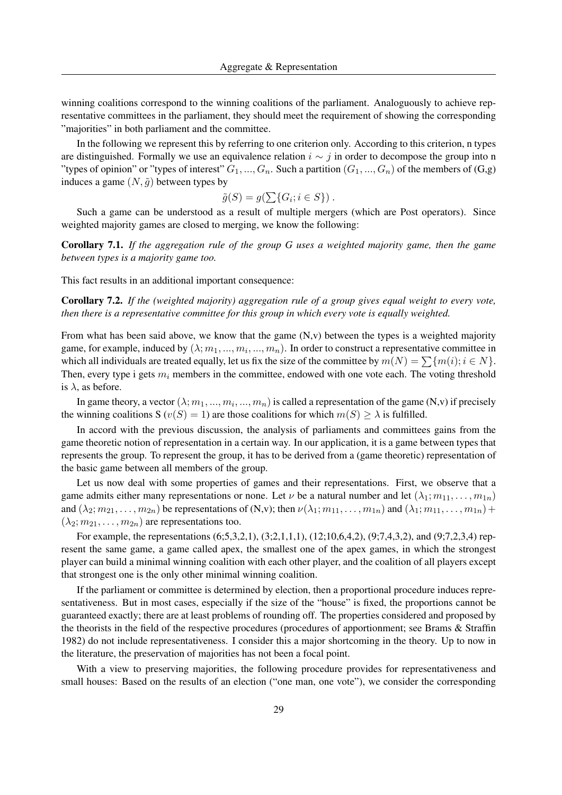winning coalitions correspond to the winning coalitions of the parliament. Analoguously to achieve representative committees in the parliament, they should meet the requirement of showing the corresponding "majorities" in both parliament and the committee.

In the following we represent this by referring to one criterion only. According to this criterion, n types are distinguished. Formally we use an equivalence relation  $i \sim j$  in order to decompose the group into n "types of opinion" or "types of interest"  $G_1, ..., G_n$ . Such a partition  $(G_1, ..., G_n)$  of the members of  $(G, g)$ " induces a game  $(N, \tilde{q})$  between types by

$$
\tilde{g}(S) = g(\sum\{G_i; i \in S\}) .
$$

Such a game can be understood as a result of multiple mergers (which are Post operators). Since weighted majority games are closed to merging, we know the following:

Corollary 7.1. *If the aggregation rule of the group G uses a weighted majority game, then the game between types is a majority game too.*

This fact results in an additional important consequence:

Corollary 7.2. *If the (weighted majority) aggregation rule of a group gives equal weight to every vote, then there is a representative committee for this group in which every vote is equally weighted.*

From what has been said above, we know that the game  $(N, v)$  between the types is a weighted majority game, for example, induced by  $(\lambda; m_1, ..., m_i, ..., m_n)$ . In order to construct a representative committee in which all individuals are treated equally, let us fix the size of the committee by  $m(N) = \sum \{m(i); i \in N\}.$ Then, every type i gets  $m_i$  members in the committee, endowed with one vote each. The voting threshold is  $\lambda$ , as before.

In game theory, a vector  $(\lambda; m_1, ..., m_i, ..., m_n)$  is called a representation of the game (N,v) if precisely the winning coalitions S ( $v(S) = 1$ ) are those coalitions for which  $m(S) > \lambda$  is fulfilled.

In accord with the previous discussion, the analysis of parliaments and committees gains from the game theoretic notion of representation in a certain way. In our application, it is a game between types that represents the group. To represent the group, it has to be derived from a (game theoretic) representation of the basic game between all members of the group.

Let us now deal with some properties of games and their representations. First, we observe that a game admits either many representations or none. Let  $\nu$  be a natural number and let  $(\lambda_1; m_{11}, \ldots, m_{1n})$ and  $(\lambda_2; m_{21}, \ldots, m_{2n})$  be representations of  $(N, v)$ ; then  $\nu(\lambda_1; m_{11}, \ldots, m_{1n})$  and  $(\lambda_1; m_{11}, \ldots, m_{1n}) +$  $(\lambda_2; m_{21}, \ldots, m_{2n})$  are representations too.

For example, the representations (6;5,3,2,1), (3;2,1,1,1), (12;10,6,4,2), (9;7,4,3,2), and (9;7,2,3,4) represent the same game, a game called apex, the smallest one of the apex games, in which the strongest player can build a minimal winning coalition with each other player, and the coalition of all players except that strongest one is the only other minimal winning coalition.

If the parliament or committee is determined by election, then a proportional procedure induces representativeness. But in most cases, especially if the size of the "house" is fixed, the proportions cannot be guaranteed exactly; there are at least problems of rounding off. The properties considered and proposed by the theorists in the field of the respective procedures (procedures of apportionment; see Brams & Straffin 1982) do not include representativeness. I consider this a major shortcoming in the theory. Up to now in the literature, the preservation of majorities has not been a focal point.

With a view to preserving majorities, the following procedure provides for representativeness and small houses: Based on the results of an election ("one man, one vote"), we consider the corresponding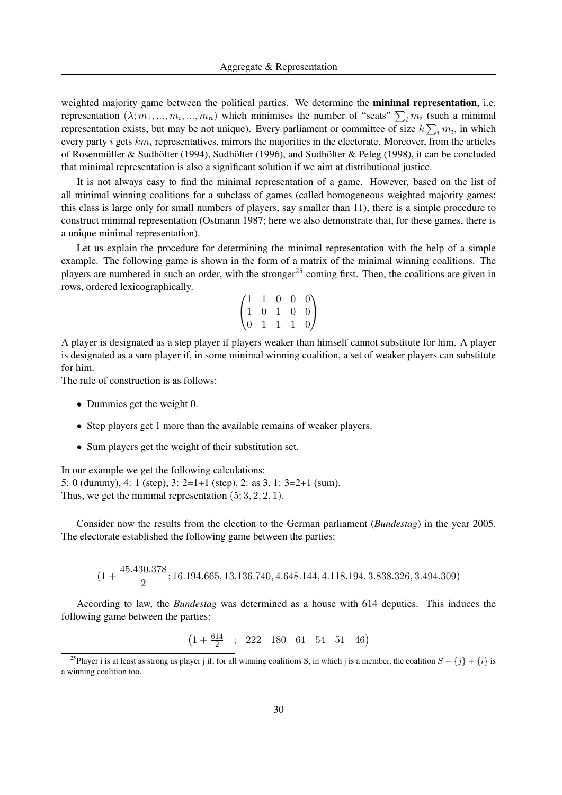weighted majority game between the political parties. We determine the **minimal representation**, i.e. representation  $(\lambda; m_1, ..., m_i, ..., m_n)$  which minimises the number of "seats"  $\sum_i m_i$  (such a minimal representation exists, but may be not unique). Every parliament or committee of size  $k\sum_i m_i$ , in which every party i gets  $km_i$  representatives, mirrors the majorities in the electorate. Moreover, from the articles of Rosenmüller & Sudhölter (1994), Sudhölter (1996), and Sudhölter & Peleg (1998), it can be concluded that minimal representation is also a significant solution if we aim at distributional justice.

It is not always easy to find the minimal representation of a game. However, based on the list of all minimal winning coalitions for a subclass of games (called homogeneous weighted majority games; this class is large only for small numbers of players, say smaller than 11), there is a simple procedure to construct minimal representation (Ostmann 1987; here we also demonstrate that, for these games, there is a unique minimal representation).

Let us explain the procedure for determining the minimal representation with the help of a simple example. The following game is shown in the form of a matrix of the minimal winning coalitions. The players are numbered in such an order, with the stronger<sup>25</sup> coming first. Then, the coalitions are given in rows, ordered lexicographically.

$$
\begin{pmatrix}\n1 & 1 & 0 & 0 & 0 \\
1 & 0 & 1 & 0 & 0 \\
0 & 1 & 1 & 1 & 0\n\end{pmatrix}
$$

A player is designated as a step player if players weaker than himself cannot substitute for him. A player is designated as a sum player if, in some minimal winning coalition, a set of weaker players can substitute for him.

The rule of construction is as follows:

- Dummies get the weight 0.
- Step players get 1 more than the available remains of weaker players.
- Sum players get the weight of their substitution set.

In our example we get the following calculations: 5: 0 (dummy), 4: 1 (step), 3: 2=1+1 (step), 2: as 3, 1: 3=2+1 (sum). Thus, we get the minimal representation  $(5; 3, 2, 2, 1)$ .

Consider now the results from the election to the German parliament (*Bundestag*) in the year 2005. The electorate established the following game between the parties:

$$
(1+\frac{45.430.378}{2}; 16.194.665, 13.136.740, 4.648.144, 4.118.194, 3.838.326, 3.494.309)
$$

According to law, the *Bundestag* was determined as a house with 614 deputies. This induces the following game between the parties:

 $\left(1 + \frac{614}{2} \right)$ ; 222 180 61 54 51 46)

<sup>&</sup>lt;sup>25</sup>Player i is at least as strong as player j if, for all winning coalitions S, in which j is a member, the coalition  $S - \{j\} + \{i\}$  is a winning coalition too.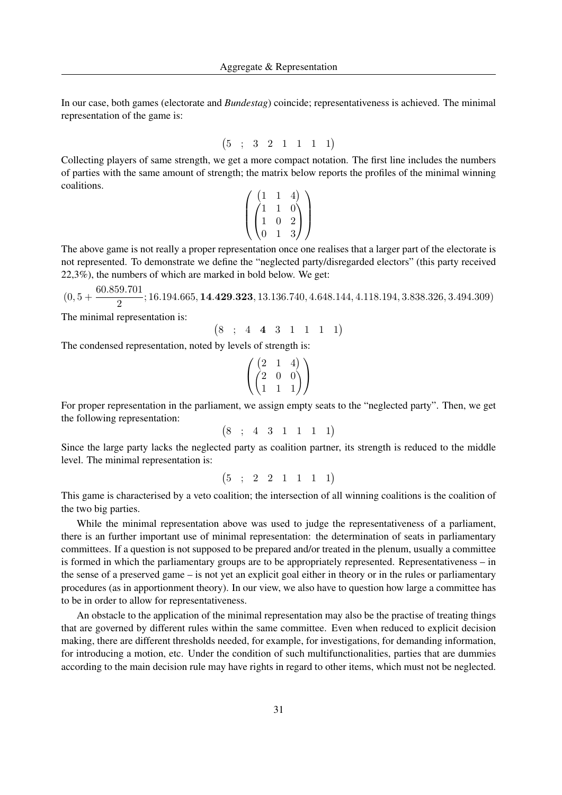In our case, both games (electorate and *Bundestag*) coincide; representativeness is achieved. The minimal representation of the game is:

$$
(5 ; 3 2 1 1 1 1)
$$

Collecting players of same strength, we get a more compact notation. The first line includes the numbers of parties with the same amount of strength; the matrix below reports the profiles of the minimal winning coalitions.

$$
\left(\begin{pmatrix} 1 & 1 & 4 \\ 1 & 1 & 0 \\ 1 & 0 & 2 \\ 0 & 1 & 3 \end{pmatrix}\right)
$$

The above game is not really a proper representation once one realises that a larger part of the electorate is not represented. To demonstrate we define the "neglected party/disregarded electors" (this party received 22,3%), the numbers of which are marked in bold below. We get:

 $(0, 5 + \frac{60.859.701}{8})$  $\frac{201101}{2}$ ; 16.194.665, **14.429.323**, 13.136.740, 4.648.144, 4.118.194, 3.838.326, 3.494.309)

The minimal representation is:

$$
(8 \; ; \; 4 \; 4 \; 3 \; 1 \; 1 \; 1 \; 1)
$$

The condensed representation, noted by levels of strength is:

$$
\left(\begin{pmatrix} 2 & 1 & 4 \\ 2 & 0 & 0 \\ 1 & 1 & 1 \end{pmatrix}\right)
$$

For proper representation in the parliament, we assign empty seats to the "neglected party". Then, we get the following representation:

$$
(8 \; ; \; 4 \; 3 \; 1 \; 1 \; 1 \; 1)
$$

Since the large party lacks the neglected party as coalition partner, its strength is reduced to the middle level. The minimal representation is:

$$
(5 ; 2 2 1 1 1 1)
$$

This game is characterised by a veto coalition; the intersection of all winning coalitions is the coalition of the two big parties.

While the minimal representation above was used to judge the representativeness of a parliament, there is an further important use of minimal representation: the determination of seats in parliamentary committees. If a question is not supposed to be prepared and/or treated in the plenum, usually a committee is formed in which the parliamentary groups are to be appropriately represented. Representativeness – in the sense of a preserved game – is not yet an explicit goal either in theory or in the rules or parliamentary procedures (as in apportionment theory). In our view, we also have to question how large a committee has to be in order to allow for representativeness.

An obstacle to the application of the minimal representation may also be the practise of treating things that are governed by different rules within the same committee. Even when reduced to explicit decision making, there are different thresholds needed, for example, for investigations, for demanding information, for introducing a motion, etc. Under the condition of such multifunctionalities, parties that are dummies according to the main decision rule may have rights in regard to other items, which must not be neglected.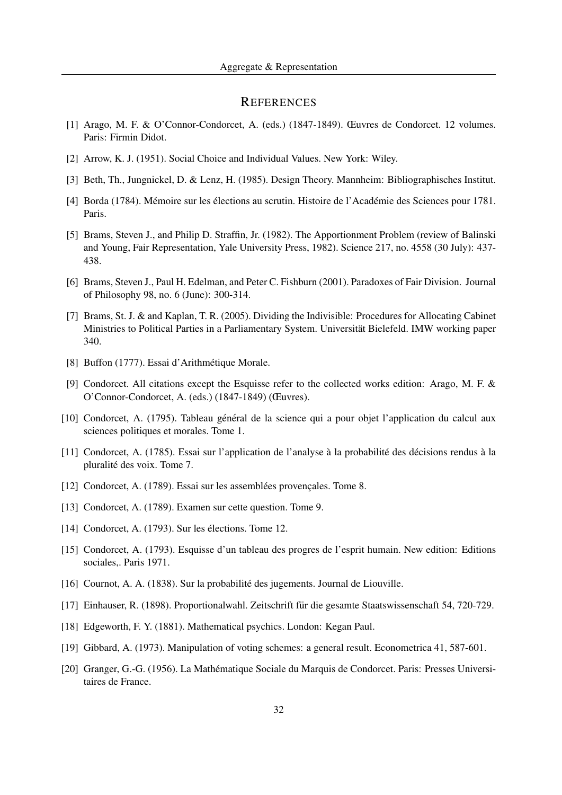## **REFERENCES**

- [1] Arago, M. F. & O'Connor-Condorcet, A. (eds.) (1847-1849). Œuvres de Condorcet. 12 volumes. Paris: Firmin Didot.
- [2] Arrow, K. J. (1951). Social Choice and Individual Values. New York: Wiley.
- [3] Beth, Th., Jungnickel, D. & Lenz, H. (1985). Design Theory. Mannheim: Bibliographisches Institut.
- [4] Borda (1784). Mémoire sur les élections au scrutin. Histoire de l'Académie des Sciences pour 1781. Paris.
- [5] Brams, Steven J., and Philip D. Straffin, Jr. (1982). The Apportionment Problem (review of Balinski and Young, Fair Representation, Yale University Press, 1982). Science 217, no. 4558 (30 July): 437- 438.
- [6] Brams, Steven J., Paul H. Edelman, and Peter C. Fishburn (2001). Paradoxes of Fair Division. Journal of Philosophy 98, no. 6 (June): 300-314.
- [7] Brams, St. J. & and Kaplan, T. R. (2005). Dividing the Indivisible: Procedures for Allocating Cabinet Ministries to Political Parties in a Parliamentary System. Universität Bielefeld. IMW working paper 340.
- [8] Buffon (1777). Essai d'Arithmétique Morale.
- [9] Condorcet. All citations except the Esquisse refer to the collected works edition: Arago, M. F. & O'Connor-Condorcet, A. (eds.) (1847-1849) (Œuvres).
- [10] Condorcet, A. (1795). Tableau général de la science qui a pour objet l'application du calcul aux sciences politiques et morales. Tome 1.
- [11] Condorcet, A. (1785). Essai sur l'application de l'analyse à la probabilité des décisions rendus à la pluralité des voix. Tome 7.
- [12] Condorcet, A. (1789). Essai sur les assemblées provençales. Tome 8.
- [13] Condorcet, A. (1789). Examen sur cette question. Tome 9.
- [14] Condorcet, A. (1793). Sur les élections. Tome 12.
- [15] Condorcet, A. (1793). Esquisse d'un tableau des progres de l'esprit humain. New edition: Editions sociales,. Paris 1971.
- [16] Cournot, A. A. (1838). Sur la probabilite des jugements. Journal de Liouville. ´
- [17] Einhauser, R. (1898). Proportionalwahl. Zeitschrift fur die gesamte Staatswissenschaft 54, 720-729. ¨
- [18] Edgeworth, F. Y. (1881). Mathematical psychics. London: Kegan Paul.
- [19] Gibbard, A. (1973). Manipulation of voting schemes: a general result. Econometrica 41, 587-601.
- [20] Granger, G.-G. (1956). La Mathematique Sociale du Marquis de Condorcet. Paris: Presses Universi- ´ taires de France.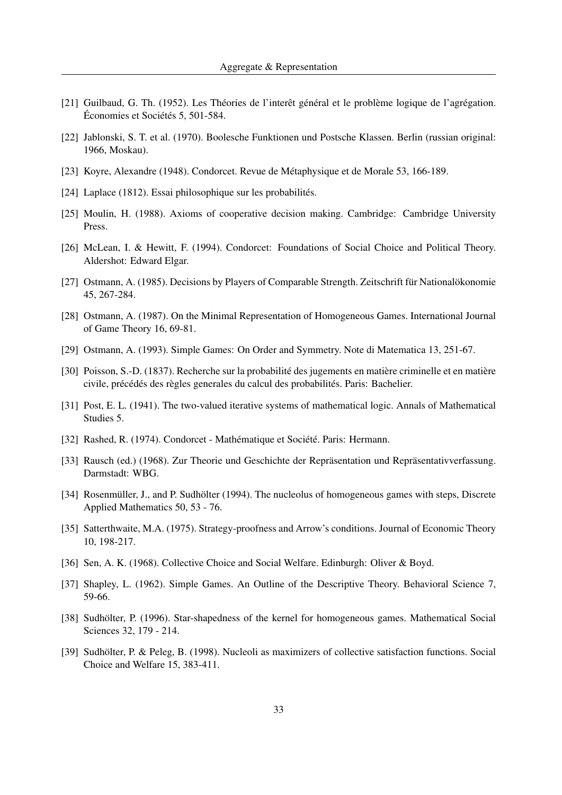- [21] Guilbaud, G. Th.  $(1952)$ . Les Théories de l'interêt général et le problème logique de l'agrégation. Économies et Sociétés 5, 501-584.
- [22] Jablonski, S. T. et al. (1970). Boolesche Funktionen und Postsche Klassen. Berlin (russian original: 1966, Moskau).
- [23] Koyre, Alexandre (1948). Condorcet. Revue de Metaphysique et de Morale 53, 166-189. ´
- [24] Laplace (1812). Essai philosophique sur les probabilités.
- [25] Moulin, H. (1988). Axioms of cooperative decision making. Cambridge: Cambridge University Press.
- [26] McLean, I. & Hewitt, F. (1994). Condorcet: Foundations of Social Choice and Political Theory. Aldershot: Edward Elgar.
- [27] Ostmann, A. (1985). Decisions by Players of Comparable Strength. Zeitschrift für Nationalökonomie 45, 267-284.
- [28] Ostmann, A. (1987). On the Minimal Representation of Homogeneous Games. International Journal of Game Theory 16, 69-81.
- [29] Ostmann, A. (1993). Simple Games: On Order and Symmetry. Note di Matematica 13, 251-67.
- [30] Poisson, S.-D. (1837). Recherche sur la probabilité des jugements en matière criminelle et en matière civile, précédés des règles generales du calcul des probabilités. Paris: Bachelier.
- [31] Post, E. L. (1941). The two-valued iterative systems of mathematical logic. Annals of Mathematical Studies 5.
- [32] Rashed, R. (1974). Condorcet Mathématique et Société. Paris: Hermann.
- [33] Rausch (ed.) (1968). Zur Theorie und Geschichte der Repräsentation und Repräsentativverfassung. Darmstadt: WBG.
- [34] Rosenmüller, J., and P. Sudhölter (1994). The nucleolus of homogeneous games with steps, Discrete Applied Mathematics 50, 53 - 76.
- [35] Satterthwaite, M.A. (1975). Strategy-proofness and Arrow's conditions. Journal of Economic Theory 10, 198-217.
- [36] Sen, A. K. (1968). Collective Choice and Social Welfare. Edinburgh: Oliver & Boyd.
- [37] Shapley, L. (1962). Simple Games. An Outline of the Descriptive Theory. Behavioral Science 7, 59-66.
- [38] Sudhölter, P. (1996). Star-shapedness of the kernel for homogeneous games. Mathematical Social Sciences 32, 179 - 214.
- [39] Sudhölter, P. & Peleg, B. (1998). Nucleoli as maximizers of collective satisfaction functions. Social Choice and Welfare 15, 383-411.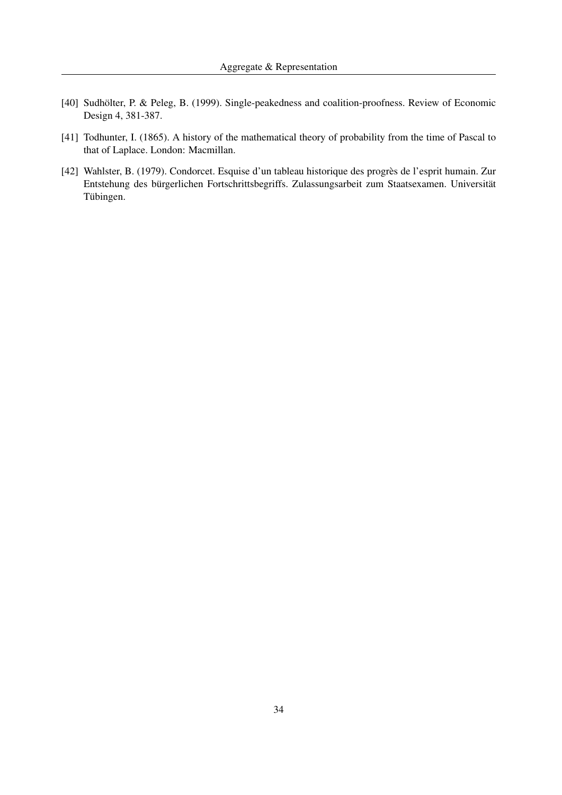- [40] Sudhölter, P. & Peleg, B. (1999). Single-peakedness and coalition-proofness. Review of Economic Design 4, 381-387.
- [41] Todhunter, I. (1865). A history of the mathematical theory of probability from the time of Pascal to that of Laplace. London: Macmillan.
- [42] Wahlster, B. (1979). Condorcet. Esquise d'un tableau historique des progres de l'esprit humain. Zur ` Entstehung des bürgerlichen Fortschrittsbegriffs. Zulassungsarbeit zum Staatsexamen. Universität Tübingen.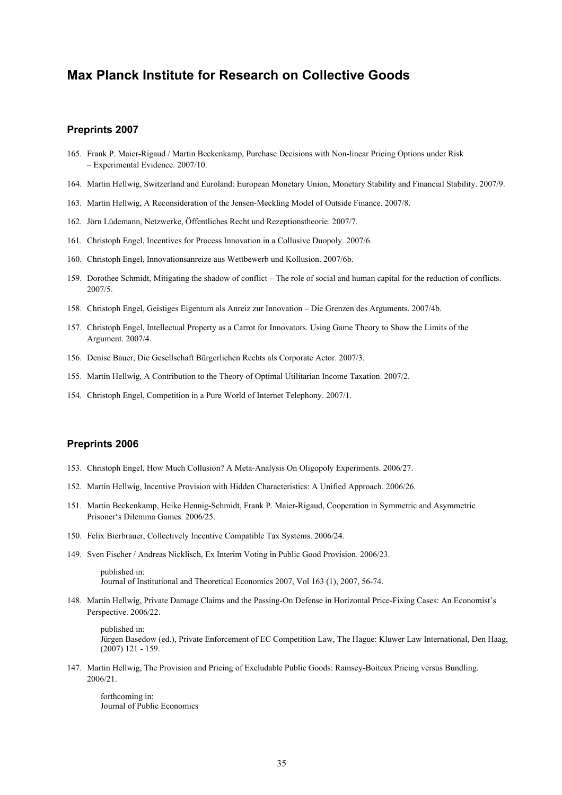# **Max Planck Institute for Research on Collective Goods**

## **Preprints 2007**

- 165. Frank P. Maier-Rigaud / Martin Beckenkamp, Purchase Decisions with Non-linear Pricing Options under Risk – Experimental Evidence. 2007/10.
- 164. Martin Hellwig, Switzerland and Euroland: European Monetary Union, Monetary Stability and Financial Stability. 2007/9.
- 163. Martin Hellwig, A Reconsideration of the Jensen-Meckling Model of Outside Finance. 2007/8.
- 162. Jörn Lüdemann, Netzwerke, Öffentliches Recht und Rezeptionstheorie. 2007/7.
- 161. Christoph Engel, Incentives for Process Innovation in a Collusive Duopoly. 2007/6.
- 160. Christoph Engel, Innovationsanreize aus Wettbewerb und Kollusion. 2007/6b.
- 159. Dorothee Schmidt, Mitigating the shadow of conflict The role of social and human capital for the reduction of conflicts. 2007/5.
- 158. Christoph Engel, Geistiges Eigentum als Anreiz zur Innovation Die Grenzen des Arguments. 2007/4b.
- 157. Christoph Engel, Intellectual Property as a Carrot for Innovators. Using Game Theory to Show the Limits of the Argument. 2007/4.
- 156. Denise Bauer, Die Gesellschaft Bürgerlichen Rechts als Corporate Actor. 2007/3.
- 155. Martin Hellwig, A Contribution to the Theory of Optimal Utilitarian Income Taxation. 2007/2.
- 154. Christoph Engel, Competition in a Pure World of Internet Telephony. 2007/1.

## **Preprints 2006**

- 153. Christoph Engel, How Much Collusion? A Meta-Analysis On Oligopoly Experiments. 2006/27.
- 152. Martin Hellwig, Incentive Provision with Hidden Characteristics: A Unified Approach. 2006/26.
- 151. Martin Beckenkamp, Heike Hennig-Schmidt, Frank P. Maier-Rigaud, Cooperation in Symmetric and Asymmetric Prisoner's Dilemma Games. 2006/25.
- 150. Felix Bierbrauer, Collectively Incentive Compatible Tax Systems. 2006/24.
- 149. Sven Fischer / Andreas Nicklisch, Ex Interim Voting in Public Good Provision. 2006/23.

published in: Journal of Institutional and Theoretical Economics 2007, Vol 163 (1), 2007, 56-74.

148. Martin Hellwig, Private Damage Claims and the Passing-On Defense in Horizontal Price-Fixing Cases: An Economist's Perspective. 2006/22.

published in: Jürgen Basedow (ed.), Private Enforcement of EC Competition Law, The Hague: Kluwer Law International, Den Haag, (2007) 121 - 159.

147. Martin Hellwig, The Provision and Pricing of Excludable Public Goods: Ramsey-Boiteux Pricing versus Bundling. 2006/21.

forthcoming in: Journal of Public Economics